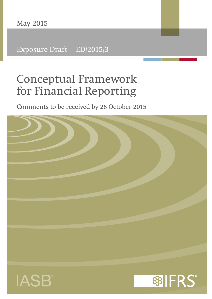Exposure Draft ED/2015/3

# Conceptual Framework for Financial Reporting

Comments to be received by 26 October 2015

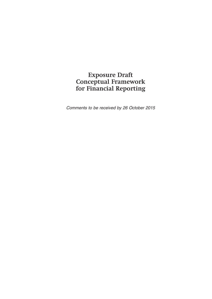# **Exposure Draft Conceptual Framework for Financial Reporting**

*Comments to be received by 26 October 2015*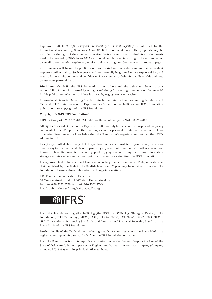Exposure Draft ED/2015/3 *Conceptual Framework for Financial Reporting* is published by the International Accounting Standards Board (IASB) for comment only. The proposals may be modified in the light of the comments received before being issued in final form. Comments need to be received by **26 October 2015** and should be submitted in writing to the address below, by email to commentletters@ifrs.org or electronically using our 'Comment on a proposal' page.

All comments will be on the public record and posted on our website unless the respondent requests confidentiality. Such requests will not normally be granted unless supported by good reason, for example, commercial confidence. Please see our website for details on this and how we use your personal data.

**Disclaimer:** the IASB, the IFRS Foundation, the authors and the publishers do not accept responsibility for any loss caused by acting or refraining from acting in reliance on the material in this publication, whether such loss is caused by negligence or otherwise.

International Financial Reporting Standards (including International Accounting Standards and SIC and IFRIC Interpretations), Exposure Drafts and other IASB and/or IFRS Foundation publications are copyright of the IFRS Foundation.

#### **Copyright © 2015 IFRS Foundation®**

ISBN for this part: 978-1-909704-82-4; ISBN for the set of two parts: 978-1-909704-81-7

**All rights reserved.** Copies of the Exposure Draft may only be made for the purpose of preparing comments to the IASB provided that such copies are for personal or internal use, are not sold or otherwise disseminated, acknowledge the IFRS Foundation's copyright and set out the IASB's address in full.

Except as permitted above no part of this publication may be translated, reprinted, reproduced or used in any form either in whole or in part or by any electronic, mechanical or other means, now known or hereafter invented, including photocopying and recording, or in any information storage and retrieval system, without prior permission in writing from the IFRS Foundation.

The approved text of International Financial Reporting Standards and other IASB publications is that published by the IASB in the English language. Copies may be obtained from the IFRS Foundation. Please address publications and copyright matters to:

IFRS Foundation Publications Department 30 Cannon Street, London EC4M 6XH, United Kingdom Tel: +44 (0)20 7332 2730 Fax: +44 (0)20 7332 2749 Email: publications@ifrs.org Web: www.ifrs.org



The IFRS Foundation logo/the IASB logo/the IFRS for SMEs logo/'Hexagon Device', 'IFRS Foundation', 'IFRS Taxonomy', 'eIFRS', 'IASB', 'IFRS for SMEs', 'IAS', 'IAS', 'IFRIC', 'IFRS', 'IFRSs', 'SIC', 'International Accounting Standards' and 'International Financial Reporting Standards' are Trade Marks of the IFRS Foundation.

Further details of the Trade Marks, including details of countries where the Trade Marks are registered or applied for, are available from the IFRS Foundation on request.

The IFRS Foundation is a not-for-profit corporation under the General Corporation Law of the State of Delaware, USA and operates in England and Wales as an overseas company (Company number: FC023235) with its principal office as above.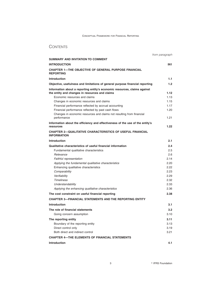## **CONTENTS**

|                                                                                                                                                                                                          | from paragraph       |
|----------------------------------------------------------------------------------------------------------------------------------------------------------------------------------------------------------|----------------------|
| SUMMARY AND INVITATION TO COMMENT                                                                                                                                                                        |                      |
| <b>INTRODUCTION</b>                                                                                                                                                                                      | IN <sub>1</sub>      |
| <b>CHAPTER 1—THE OBJECTIVE OF GENERAL PURPOSE FINANCIAL</b><br><b>REPORTING</b>                                                                                                                          |                      |
| <b>Introduction</b>                                                                                                                                                                                      | 1.1                  |
| Objective, usefulness and limitations of general purpose financial reporting                                                                                                                             | 1.2                  |
| Information about a reporting entity's economic resources, claims against<br>the entity and changes in resources and claims<br>Economic resources and claims<br>Changes in economic resources and claims | 1.12<br>1.13<br>1.15 |
| Financial performance reflected by accrual accounting                                                                                                                                                    | 1.17                 |
| Financial performance reflected by past cash flows                                                                                                                                                       | 1.20                 |
| Changes in economic resources and claims not resulting from financial<br>performance                                                                                                                     | 1.21                 |
| Information about the efficiency and effectiveness of the use of the entity's                                                                                                                            |                      |
| resources                                                                                                                                                                                                | 1.22                 |
| <b>CHAPTER 2-OUALITATIVE CHARACTERISTICS OF USEFUL FINANCIAL</b><br><b>INFORMATION</b>                                                                                                                   |                      |
| <b>Introduction</b>                                                                                                                                                                                      | 2.1                  |
| Qualitative characteristics of useful financial information                                                                                                                                              | 2.4                  |
| Fundamental qualitative characteristics                                                                                                                                                                  | 2.5                  |
| Relevance                                                                                                                                                                                                | 2.6                  |
| <b>Faithful representation</b>                                                                                                                                                                           | 2.14                 |
| Applying the fundamental qualitative characteristics                                                                                                                                                     | 2.20                 |
| Enhancing qualitative characteristics                                                                                                                                                                    | 2.22                 |
| Comparability                                                                                                                                                                                            | 2.23                 |
| Verifiability                                                                                                                                                                                            | 2.29                 |
| <b>Timeliness</b>                                                                                                                                                                                        | 2.32                 |
| Understandability<br>Applying the enhancing qualitative characteristics                                                                                                                                  | 2.33<br>2.36         |
|                                                                                                                                                                                                          |                      |
| The cost constraint on useful financial reporting                                                                                                                                                        | 2.38                 |
| <b>CHAPTER 3—FINANCIAL STATEMENTS AND THE REPORTING ENTITY</b>                                                                                                                                           |                      |
| <b>Introduction</b>                                                                                                                                                                                      | 3.1                  |
| The role of financial statements                                                                                                                                                                         | 3.2                  |
| Going concern assumption                                                                                                                                                                                 | 3.10                 |
| The reporting entity                                                                                                                                                                                     | 3.11                 |
| Boundary of the reporting entity                                                                                                                                                                         | 3.13                 |
| Direct control only                                                                                                                                                                                      | 3.19                 |
| Both direct and indirect control                                                                                                                                                                         | 3.21                 |
| <b>CHAPTER 4-THE ELEMENTS OF FINANCIAL STATEMENTS</b>                                                                                                                                                    |                      |
| <b>Introduction</b>                                                                                                                                                                                      | 4.1                  |

 $3^{\circ}$ <sup>©</sup> IFRS Foundation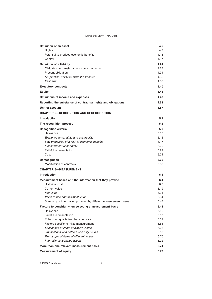| Definition of an asset                                         | 4.5  |
|----------------------------------------------------------------|------|
| Rights                                                         | 4.8  |
| Potential to produce economic benefits                         | 4.13 |
| Control                                                        | 4.17 |
| Definition of a liability                                      | 4.24 |
| Obligation to transfer an economic resource                    | 4.27 |
| Present obligation                                             | 4.31 |
| No practical ability to avoid the transfer                     | 4.32 |
| Past event                                                     | 4.36 |
| <b>Executory contracts</b>                                     | 4.40 |
| <b>Equity</b>                                                  | 4.43 |
| Definitions of income and expenses                             | 4.48 |
| Reporting the substance of contractual rights and obligations  | 4.53 |
| Unit of account                                                | 4.57 |
| <b>CHAPTER 5-RECOGNITION AND DERECOGNITION</b>                 |      |
| <b>Introduction</b>                                            | 5.1  |
| The recognition process                                        | 5.2  |
| <b>Recognition criteria</b>                                    | 5.9  |
| Relevance                                                      | 5.13 |
| Existence uncertainty and separability                         | 5.15 |
| Low probability of a flow of economic benefits                 | 5.17 |
| Measurement uncertainty                                        | 5.20 |
| Faithful representation                                        | 5.22 |
| Cost                                                           | 5.24 |
| <b>Derecognition</b>                                           | 5.25 |
| Modification of contracts                                      | 5.33 |
| <b>CHAPTER 6-MEASUREMENT</b>                                   |      |
| <b>Introduction</b>                                            | 6.1  |
| Measurement bases and the information that they provide        | 6.4  |
| Historical cost                                                | 6.6  |
| Current value                                                  | 6.19 |
| Fair value                                                     | 6.21 |
| Value in use and fulfilment value                              | 6.34 |
| Summary of information provided by different measurement bases | 6.47 |
| Factors to consider when selecting a measurement basis         | 6.48 |
| Relevance                                                      | 6.53 |
| Faithful representation                                        | 6.57 |
| Enhancing qualitative characteristics                          | 6.59 |
| Factors specific to initial measurement                        | 6.64 |
| Exchanges of items of similar values                           | 6.66 |
| Transactions with holders of equity claims                     | 6.69 |
| Exchanges of items of different values                         | 6.70 |
| Internally constructed assets                                  | 6.72 |
| More than one relevant measurement basis                       | 6.74 |
| <b>Measurement of equity</b>                                   | 6.78 |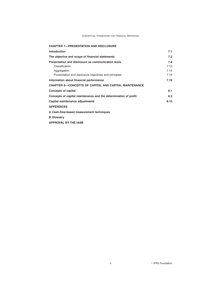| <b>CHAPTER 7-PRESENTATION AND DISCLOSURE</b>                    |      |
|-----------------------------------------------------------------|------|
| <b>Introduction</b>                                             | 7.1  |
| The objective and scope of financial statements                 | 7.2  |
| Presentation and disclosure as communication tools              | 7.8  |
| Classification                                                  | 7.10 |
| Aggregation                                                     | 7.14 |
| Presentation and disclosure objectives and principles           | 7.16 |
| Information about financial performance                         | 7.19 |
| <b>CHAPTER 8-CONCEPTS OF CAPITAL AND CAPITAL MAINTENANCE</b>    |      |
| Concepts of capital                                             | 8.1  |
| Concepts of capital maintenance and the determination of profit | 8.3  |
| Capital maintenance adjustments                                 | 8.10 |
| <b>APPENDICES</b>                                               |      |
| A Cash-flow-based measurement techniques                        |      |
| <b>B</b> Glossary                                               |      |
| <b>APPROVAL BY THE IASB</b>                                     |      |

<sup>©</sup> IFRS Foundation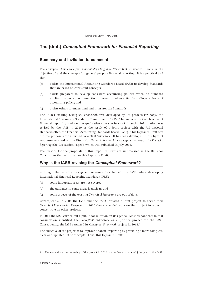## **The [draft]** *Conceptual Framework for Financial Reporting*

## **Summary and invitation to comment**

The *Conceptual Framework for Financial Reporting* (the '*Conceptual Framework*') describes the objective of, and the concepts for, general purpose financial reporting. It is a practical tool that:

- (a) assists the International Accounting Standards Board (IASB) to develop Standards that are based on consistent concepts;
- (b) assists preparers to develop consistent accounting policies when no Standard applies to a particular transaction or event, or when a Standard allows a choice of accounting policy; and
- (c) assists others to understand and interpret the Standards.

The IASB's existing *Conceptual Framework* was developed by its predecessor body, the International Accounting Standards Committee, in 1989. The material on the objective of financial reporting and on the qualitative characteristics of financial information was revised by the IASB in 2010 as the result of a joint project with the US national standard-setter, the Financial Accounting Standards Board (FASB). This Exposure Draft sets out the proposals for a revised *Conceptual Framework*. It has been developed in the light of responses received on the Discussion Paper *A Review of the Conceptual Framework for Financial Reporting* (the 'Discussion Paper'), which was published in July 2013.

The reasons for the proposals in this Exposure Draft are summarised in the Basis for Conclusions that accompanies this Exposure Draft.

## **Why is the IASB revising the** *Conceptual Framework***?**

Although the existing *Conceptual Framework* has helped the IASB when developing International Financial Reporting Standards (IFRS):

- (a) some important areas are not covered;
- (b) the guidance in some areas is unclear; and
- (c) some aspects of the existing *Conceptual Framework* are out of date.

Consequently, in 2004 the IASB and the FASB initiated a joint project to revise their *Conceptual Frameworks*. However, in 2010 they suspended work on that project in order to concentrate on other projects.

In 2011 the IASB carried out a public consultation on its agenda. Most respondents to that consultation identified the *Conceptual Framework* as a priority project for the IASB. Consequently, the IASB restarted its *Conceptual Framework* project in 2012.<sup>1</sup>

The objective of the project is to improve financial reporting by providing a more complete, clear and updated set of concepts. Thus, this Exposure Draft:

**C** IFRS Foundation 6

<sup>1</sup> The work since the restarting of the project in 2012 has not been conducted jointly with the FASB.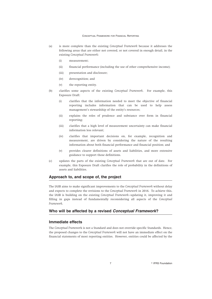- (a) is more complete than the existing *Conceptual Framework* because it addresses the following areas that are either not covered, or not covered in enough detail, in the existing *Conceptual Framework*:
	- (i) measurement;
	- (ii) financial performance (including the use of other comprehensive income);
	- (iii) presentation and disclosure;
	- (iv) derecognition; and
	- (v) the reporting entity.
- (b) clarifies some aspects of the existing *Conceptual Framework*. For example, this Exposure Draft:
	- (i) clarifies that the information needed to meet the objective of financial reporting includes information that can be used to help assess management's stewardship of the entity's resources;
	- (ii) explains the roles of prudence and substance over form in financial reporting;
	- (iii) clarifies that a high level of measurement uncertainty can make financial information less relevant;
	- (iv) clarifies that important decisions on, for example, recognition and measurement, are driven by considering the nature of the resulting information about both financial performance and financial position; and
	- (v) provides clearer definitions of assets and liabilities, and more extensive guidance to support those definitions.
- (c) updates the parts of the existing *Conceptual Framework* that are out of date. For example, this Exposure Draft clarifies the role of probability in the definitions of assets and liabilities.

## **Approach to, and scope of, the project**

The IASB aims to make significant improvements to the *Conceptual Framework* without delay and expects to complete the revisions to the *Conceptual Framework* in 2016. To achieve this, the IASB is building on the existing *Conceptual Framework*—updating it, improving it and filling in gaps instead of fundamentally reconsidering all aspects of the *Conceptual Framework*.

## **Who will be affected by a revised** *Conceptual Framework***?**

#### **Immediate effects**

The *Conceptual Framewor*k is not a Standard and does not override specific Standards. Hence, the proposed changes to the *Conceptual Framework* will not have an immediate effect on the financial statements of most reporting entities. However, entities could be affected by the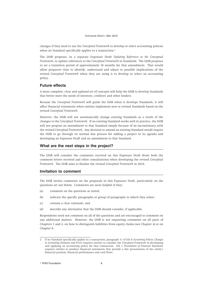changes if they need to use the *Conceptual Framework* to develop or select accounting policies when no Standard specifically applies to a transaction.<sup>2</sup>

The IASB proposes, in a separate Exposure Draft *Updating References to the Conceptual Framework*, to update references to the *Conceptual Framework* in Standards. The IASB proposes to set a transition period of approximately 18 months for that amendment. That would allow preparers time to identify, understand and adjust to possible implications of the revised *Conceptual Framework* when they are using it to develop or select an accounting policy.

## **Future effects**

A more complete, clear and updated set of concepts will help the IASB to develop Standards that better meet the needs of investors, creditors and other lenders.

Because the *Conceptual Framework* will guide the IASB when it develops Standards, it will affect financial statements when entities implement new or revised Standards based on the revised *Conceptual Framework*.

However, the IASB will not automatically change existing Standards as a result of the changes to the *Conceptual Framework*. If an existing Standard works well in practice, the IASB will not propose an amendment to that Standard simply because of an inconsistency with the revised *Conceptual Framework*. Any decision to amend an existing Standard would require the IASB to go through its normal due process for adding a project to its agenda and developing an Exposure Draft and an amendment to that Standard.

## **What are the next steps in the project?**

The IASB will consider the comments received on this Exposure Draft (from both the comment letters received and other consultations) when developing the revised *Conceptual Framework*. The IASB aims to finalise the revised *Conceptual Framework* in 2016.

#### **Invitation to comment**

The IASB invites comments on the proposals in this Exposure Draft, particularly on the questions set out below. Comments are most helpful if they:

- (a) comment on the questions as stated;
- (b) indicate the specific paragraphs or group of paragraphs to which they relate;
- (c) contain a clear rationale; and
- (d) describe any alternative that the IASB should consider, if applicable.

Respondents need not comment on all of the questions and are encouraged to comment on any additional matters. However, the IASB is not requesting comments on all parts of Chapters 1 and 2, on how to distinguish liabilities from equity claims (see Chapter 4) or on Chapter 8.

**Communist Execution 8 and Series 3 and Series 8 and Series 8 and Series 8 and Series 8 and Series 8 and Series 8 and Series 8 and Series 8 and Series 8 and Series 8 and Series 8 and Series 8 and Series 8 and Series 8 and** 

<sup>2</sup> If no Standard specifically applies to a transaction, paragraph 11 of IAS 8 *Accounting Policies, Changes in Accounting Estimates and Errors* requires entities to consider the *Conceptual Framework* in developing and applying an accounting policy for that transaction. IAS 1 *Presentation of Financial Statements* requires entities to produce financial statements that provide a fair presentation of the entity's financial position, financial performance and cash flows.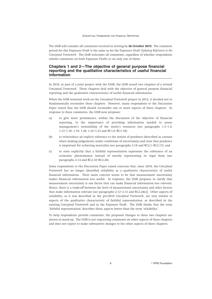The IASB will consider all comments received in writing by **26 October 2015**. The comment period for this Exposure Draft is the same as for the Exposure Draft *Updating References to the Conceptual Framework*. The IASB welcomes all comments, regardless of whether respondents submit comments on both Exposure Drafts or on only one of them.

## **Chapters 1 and 2—The objective of general purpose financial reporting and the qualitative characteristics of useful financial information**

In 2010, as part of a joint project with the FASB, the IASB issued two chapters of a revised *Conceptual Framework*. These chapters deal with the objective of general purpose financial reporting and the qualitative characteristics of useful financial information.

When the IASB restarted work on the *Conceptual Framework* project in 2012, it decided not to fundamentally reconsider these chapters. However, many respondents to the Discussion Paper stated that the IASB should reconsider one or more aspects of these chapters. In response to these comments, the IASB now proposes:

- (a) to give more prominence, within the discussion of the objective of financial reporting, to the importance of providing information needed to assess management's stewardship of the entity's resources (see paragraphs 1.3–1.4, 1.13–1.16, 1.18, 1.20, 1.22–1.23 and BC1.6–BC1.10);
- (b) to reintroduce an explicit reference to the notion of prudence (described as caution when making judgements under conditions of uncertainty) and state that prudence is important for achieving neutrality (see paragraphs 2.18 and BC2.1–BC2.17); and
- (c) to state explicitly that a faithful representation represents the substance of an economic phenomenon instead of merely representing its legal form (see paragraphs 2.14 and BC2.18–BC2.20).

Some respondents to the Discussion Paper raised concerns that, since 2010, the *Conceptual Framework* has no longer identified reliability as a qualitative characteristic of useful financial information. Their main concern seems to be that measurement uncertainty makes financial information less useful. In response, the IASB proposes to clarify that measurement uncertainty is one factor that can make financial information less relevant. Hence, there is a trade-off between the level of measurement uncertainty and other factors that make information relevant (see paragraphs 2.12–2.13 and BC2.24(c)). Other aspects of reliability, as it was described in the pre-2010 *Conceptual Framework*, are very similar to aspects of the qualitative characteristic of faithful representation, as described in the existing *Conceptual Framework* and in the Exposure Draft. The IASB thinks that the term 'faithful representation' describes those aspects better than the term 'reliability'.

To help respondents provide comments, the proposed changes to these two chapters are shown in mark-up. The IASB is not requesting comments on other aspects of these chapters and does not expect to make substantive changes to the other aspects of these chapters.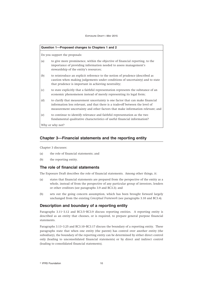| Question 1-Proposed changes to Chapters 1 and 2 |                                                                                                                                                                                                                                                 |
|-------------------------------------------------|-------------------------------------------------------------------------------------------------------------------------------------------------------------------------------------------------------------------------------------------------|
|                                                 | Do you support the proposals:                                                                                                                                                                                                                   |
| (a)                                             | to give more prominence, within the objective of financial reporting, to the<br>importance of providing information needed to assess management's<br>stewardship of the entity's resources;                                                     |
| (b)                                             | to reintroduce an explicit reference to the notion of prudence (described as<br>caution when making judgements under conditions of uncertainty) and to state<br>that prudence is important in achieving neutrality;                             |
| (c)                                             | to state explicitly that a faithful representation represents the substance of an<br>economic phenomenon instead of merely representing its legal form;                                                                                         |
| (d)                                             | to clarify that measurement uncertainty is one factor that can make financial<br>information less relevant, and that there is a trade-off between the level of<br>measurement uncertainty and other factors that make information relevant; and |
| (e)                                             | to continue to identify relevance and faithful representation as the two<br>fundamental qualitative characteristics of useful financial information?                                                                                            |
|                                                 | Why or why not?                                                                                                                                                                                                                                 |

## **Chapter 3—Financial statements and the reporting entity**

Chapter 3 discusses:

- (a) the role of financial statements; and
- (b) the reporting entity.

#### **The role of financial statements**

The Exposure Draft describes the role of financial statements. Among other things, it:

- (a) states that financial statements are prepared from the perspective of the entity as a whole, instead of from the perspective of any particular group of investors, lenders or other creditors (see paragraphs 3.9 and BC3.3); and
- (b) sets out the going concern assumption, which has been brought forward largely unchanged from the existing *Conceptual Framework* (see paragraphs 3.10 and BC3.4).

## **Description and boundary of a reporting entity**

Paragraphs 3.11–3.12 and BC3.5–BC3.9 discuss reporting entities. A reporting entity is described as an entity that chooses, or is required, to prepare general purpose financial statements.

Paragraphs 3.13–3.25 and BC3.10–BC3.17 discuss the boundary of a reporting entity. These paragraphs state that when one entity (the parent) has control over another entity (the subsidiary), the boundary of the reporting entity can be determined by either direct control only (leading to unconsolidated financial statements) or by direct and indirect control (leading to consolidated financial statements).

**Communist Execution** 10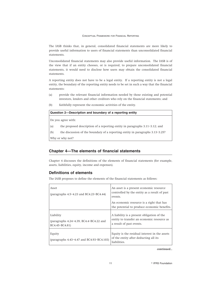The IASB thinks that, in general, consolidated financial statements are more likely to provide useful information to users of financial statements than unconsolidated financial statements.

Unconsolidated financial statements may also provide useful information. The IASB is of the view that if an entity chooses, or is required, to prepare unconsolidated financial statements, it would need to disclose how users may obtain the consolidated financial statements.

A reporting entity does not have to be a legal entity. If a reporting entity is not a legal entity, the boundary of the reporting entity needs to be set in such a way that the financial statements:

- (a) provide the relevant financial information needed by those existing and potential investors, lenders and other creditors who rely on the financial statements; and
- (b) faithfully represent the economic activities of the entity.

| Question 2—Description and boundary of a reporting entity |                                                                                |
|-----------------------------------------------------------|--------------------------------------------------------------------------------|
|                                                           | Do you agree with:                                                             |
| (a)                                                       | the proposed description of a reporting entity in paragraphs $3.11-3.12$ ; and |
| (b)                                                       | the discussion of the boundary of a reporting entity in paragraphs 3.13–3.25?  |
| Why or why not?                                           |                                                                                |

## **Chapter 4—The elements of financial statements**

Chapter 4 discusses the definitions of the elements of financial statements (for example, assets, liabilities, equity, income and expenses).

## **Definitions of elements**

The IASB proposes to define the elements of the financial statements as follows:

| Asset<br>(paragraphs $4.5 - 4.23$ and BC4.23-BC4.44)                             | An asset is a present economic resource<br>controlled by the entity as a result of past<br>events.                   |
|----------------------------------------------------------------------------------|----------------------------------------------------------------------------------------------------------------------|
|                                                                                  | An economic resource is a right that has<br>the potential to produce economic benefits.                              |
| Liability<br>(paragraphs $4.24 - 4.39$ , BC $4.4 - BC4.22$ and<br>BC4.45-BC4.81) | A liability is a present obligation of the<br>entity to transfer an economic resource as<br>a result of past events. |
| Equity<br>(paragraphs 4.43-4.47 and BC4.93-BC4.103)                              | Equity is the residual interest in the assets<br>of the entity after deducting all its<br>liabilities.               |

*continued...*

<sup>©</sup> IFRS Foundation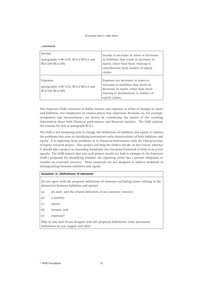| continued |  |
|-----------|--|
|           |  |

| Income<br>(paragraphs $4.48 - 4.52$ , BC4.2-BC4.3 and<br>BC4.104-BC4.105) | Income is increases in assets or decreases<br>in liabilities that result in increases in<br>equity, other than those relating to<br>contributions from holders of equity<br>claims.  |
|---------------------------------------------------------------------------|--------------------------------------------------------------------------------------------------------------------------------------------------------------------------------------|
| Expenses<br>(paragraphs 4.48-4.52, BC4.2-BC4.3 and<br>BC4.104-BC4.105)    | Expenses are decreases in assets or<br>increases in liabilities that result in<br>decreases in equity, other than those<br>relating to distributions to holders of<br>equity claims. |

This Exposure Draft continues to define income and expenses in terms of changes in assets and liabilities, but emphasises in various places that important decisions on, for example, recognition and measurement, are driven by considering the nature of the resulting information about both financial performance and financial position. The IASB explains the reasons for this in paragraph BC4.3.

The IASB is not proposing now to change the definitions of liabilities and equity to address the problems that arise in classifying instruments with characteristics of both liabilities and equity. It is exploring those problems in its Financial Instruments with the Characteristics of Equity research project. That project will help the IASB to decide, in due course, whether it should add a project on amending Standards, the *Conceptual Framework* or both to its active agenda. The IASB expects that any such project would not lead to changes in the Exposure Draft's proposals for identifying whether the reporting entity has a present obligation to transfer an economic resource. Those proposals are not designed to address problems in distinguishing between liabilities and equity.

#### **Question 3—Definitions of elements**

Do you agree with the proposed definitions of elements (excluding issues relating to the distinction between liabilities and equity):

- (a) an asset, and the related definition of an economic resource;
- (b) a liability;
- (c) equity;
- (d) income; and
- (e) expenses?

Why or why not? If you disagree with the proposed definitions, what alternative definitions do you suggest and why?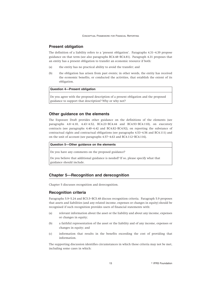### **Present obligation**

The definition of a liability refers to a 'present obligation'. Paragraphs 4.31–4.39 propose guidance on that term (see also paragraphs BC4.48–BC4.81). Paragraph 4.31 proposes that an entity has a present obligation to transfer an economic resource if both:

- (a) the entity has no practical ability to avoid the transfer; and
- (b) the obligation has arisen from past events; in other words, the entity has received the economic benefits, or conducted the activities, that establish the extent of its obligation.

#### **Question 4—Present obligation**

Do you agree with the proposed description of a present obligation and the proposed guidance to support that description? Why or why not?

#### **Other guidance on the elements**

The Exposure Draft provides other guidance on the definitions of the elements (see paragraphs 4.8–4.10, 4.43–4.52, BC4.23–BC4.44 and BC4.93–BC4.110), on executory contracts (see paragraphs 4.40–4.42 and BC4.82–BC4.92), on reporting the substance of contractual rights and contractual obligations (see paragraphs 4.53–4.56 and BC4.111) and on the unit of account (see paragraphs 4.57–4.63 and BC4.112–BC4.116).

#### **Question 5—Other guidance on the elements**

Do you have any comments on the proposed guidance?

Do you believe that additional guidance is needed? If so, please specify what that guidance should include.

#### **Chapter 5—Recognition and derecognition**

Chapter 5 discusses recognition and derecognition.

#### **Recognition criteria**

Paragraphs 5.9–5.24 and BC5.5–BC5.48 discuss recognition criteria. Paragraph 5.9 proposes that assets and liabilities (and any related income, expenses or changes in equity) should be recognised if such recognition provides users of financial statements with:

- (a) relevant information about the asset or the liability and about any income, expenses or changes in equity;
- (b) a faithful representation of the asset or the liability and of any income, expenses or changes in equity; and
- (c) information that results in the benefits exceeding the cost of providing that information.

The supporting discussion identifies circumstances in which those criteria may not be met, including some cases in which: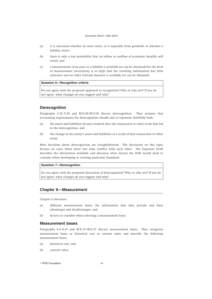- (a) it is uncertain whether an asset exists, or is separable from goodwill, or whether a liability exists;
- (b) there is only a low probability that an inflow or outflow of economic benefits will result; and
- (c) a measurement of an asset or a liability is available (or can be obtained) but the level of measurement uncertainty is so high that the resulting information has little relevance and no other relevant measure is available (or can be obtained).

#### **Question 6—Recognition criteria**

Do you agree with the proposed approach to recognition? Why or why not? If you do not agree, what changes do you suggest and why?

## **Derecognition**

Paragraphs 5.25–5.36 and BC5.49–BC5.59 discuss derecognition. They propose that accounting requirements for derecognition should aim to represent faithfully both:

- (a) the assets and liabilities (if any) retained after the transaction or other event that led to the derecognition; and
- (b) the change in the entity's assets and liabilities as a result of that transaction or other event.

Most decisions about derecognition are straightforward. The discussion on this topic focuses on cases when these two aims conflict with each other. The Exposure Draft describes the alternatives available and discusses what factors the IASB would need to consider when developing or revising particular Standards.

#### **Question 7—Derecognition**

Do you agree with the proposed discussion of derecognition? Why or why not? If you do not agree, what changes do you suggest and why?

## **Chapter 6—Measurement**

Chapter 6 discusses:

- (a) different measurement bases, the information that they provide and their advantages and disadvantages; and
- (b) factors to consider when selecting a measurement basis.

## **Measurement bases**

Paragraphs 6.4–6.47 and BC6.15–BC6.37 discuss measurement bases. They categorise measurement bases as historical cost or current value and describe the following measurement bases:

- (a) historical cost; and
- (b) current value:

**Communist Execution** 14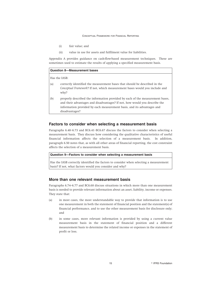- (i) fair value; and
- (ii) value in use for assets and fulfilment value for liabilities.

Appendix A provides guidance on cash-flow-based measurement techniques. These are sometimes used to estimate the results of applying a specified measurement basis.

|  | <b>Question 8-Measurement bases</b> |  |
|--|-------------------------------------|--|
|--|-------------------------------------|--|

Has the IASB:

- (a) correctly identified the measurement bases that should be described in the *Conceptual Framework*? If not, which measurement bases would you include and why?
- (b) properly described the information provided by each of the measurement bases, and their advantages and disadvantages? If not, how would you describe the information provided by each measurement basis, and its advantages and disadvantages?

#### **Factors to consider when selecting a measurement basis**

Paragraphs 6.48–6.73 and BC6.41–BC6.67 discuss the factors to consider when selecting a measurement basis. They discuss how considering the qualitative characteristics of useful financial information affects the selection of a measurement basis. In addition, paragraph 6.50 notes that, as with all other areas of financial reporting, the cost constraint affects the selection of a measurement basis.

#### **Question 9—Factors to consider when selecting a measurement basis**

Has the IASB correctly identified the factors to consider when selecting a measurement basis? If not, what factors would you consider and why?

#### **More than one relevant measurement basis**

Paragraphs 6.74–6.77 and BC6.68 discuss situations in which more than one measurement basis is needed to provide relevant information about an asset, liability, income or expenses. They state that:

- (a) in most cases, the most understandable way to provide that information is to use one measurement in both the statement of financial position and the statement(s) of financial performance, and to use the other measurement basis for disclosure only; and
- (b) in some cases, more relevant information is provided by using a current value measurement basis in the statement of financial position and a different measurement basis to determine the related income or expenses in the statement of profit or loss.

<sup>©</sup> IFRS Foundation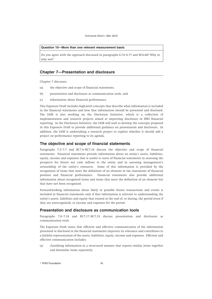#### **Question 10—More than one relevant measurement basis**

Do you agree with the approach discussed in paragraphs 6.74–6.77 and BC6.68? Why or why not?

## **Chapter 7—Presentation and disclosure**

Chapter 7 discusses:

- (a) the objective and scope of financial statements;
- (b) presentation and disclosure as communication tools; and
- (c) information about financial performance.

This Exposure Draft includes high-level concepts that describe what information is included in the financial statements and how that information should be presented and disclosed. The IASB is also working on the Disclosure Initiative, which is a collection of implementation and research projects aimed at improving disclosure in IFRS financial reporting. In the Disclosure Initiative, the IASB will seek to develop the concepts proposed in this Exposure Draft to provide additional guidance on presentation and disclosure. In addition, the IASB is undertaking a research project to explore whether it should add a project on performance reporting to its agenda.

#### **The objective and scope of financial statements**

Paragraphs 7.2–7.7 and BC7.4–BC7.16 discuss the objective and scope of financial statements. Financial statements provide information about an entity's assets, liabilities, equity, income and expenses that is useful to users of financial statements in assessing the prospects for future net cash inflows to the entity and in assessing management's stewardship of the entity's resources. Some of this information is provided by the recognition of items that meet the definition of an element in the statements of financial position and financial performance. Financial statements also provide additional information about recognised items and items that meet the definition of an element but that have not been recognised.

Forward-looking information about likely or possible future transactions and events is included in financial statements only if that information is relevant to understanding the entity's assets, liabilities and equity that existed at the end of, or during, the period (even if they are unrecognised), or income and expenses for the period.

#### **Presentation and disclosure as communication tools**

Paragraphs 7.8–7.18 and BC7.17–BC7.23 discuss presentation and disclosure as communication tools.

The Exposure Draft states that efficient and effective communication of the information presented or disclosed in the financial statements improves its relevance and contributes to a faithful representation of the assets, liabilities, equity, income and expenses. Efficient and effective communication includes:

(a) classifying information in a structured manner that reports similar items together and dissimilar items separately;

**Communist Execution** 16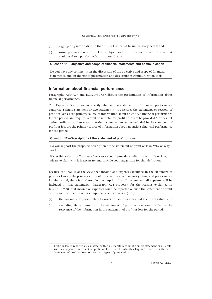- (b) aggregating information so that it is not obscured by unnecessary detail; and
- (c) using presentation and disclosure objectives and principles instead of rules that could lead to a purely mechanistic compliance.

#### **Question 11—Objective and scope of financial statements and communication**

Do you have any comments on the discussion of the objective and scope of financial statements, and on the use of presentation and disclosure as communication tools?

#### **Information about financial performance**

Paragraphs 7.19–7.27 and BC7.24–BC7.57 discuss the presentation of information about financial performance.

This Exposure Draft does not specify whether the statement(s) of financial performance comprise a single statement or two statements. It describes the statement, or section, of profit or loss as the primary source of information about an entity's financial performance for the period, and requires a total or subtotal for profit or loss to be provided.<sup>3</sup> It does not define profit or loss, but states that the income and expenses included in the statement of profit or loss are the primary source of information about an entity's financial performance for the period.

#### **Question 12—Description of the statement of profit or loss**

Do you support the proposed description of the statement of profit or loss? Why or why not?

If you think that the *Conceptual Framework* should provide a definition of profit or loss, please explain why it is necessary and provide your suggestion for that definition.

Because the IASB is of the view that income and expenses included in the statement of profit or loss are the primary source of information about an entity's financial performance for the period, there is a rebuttable presumption that all income and all expenses will be included in that statement. Paragraph 7.24 proposes, for the reasons explained in BC7.42–BC7.48, that income or expenses could be reported outside the statement of profit or loss and included in other comprehensive income (OCI) only if:

- (a) the income or expenses relate to assets or liabilities measured at current values; and
- (b) excluding those items from the statement of profit or loss would enhance the relevance of the information in the statement of profit or loss for the period.

<sup>3</sup> Profit or loss is reported as a subtotal within a separate section of a single statement or as a total within a separate statement of profit or loss. For brevity, this Exposure Draft uses the term 'statement of profit or loss' to cover both types of presentation.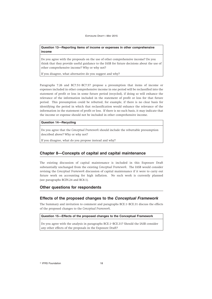**Question 13—Reporting items of income or expenses in other comprehensive income**

Do you agree with the proposals on the use of other comprehensive income? Do you think that they provide useful guidance to the IASB for future decisions about the use of other comprehensive income? Why or why not?

If you disagree, what alternative do you suggest and why?

Paragraphs 7.26 and BC7.51–BC7.57 propose a presumption that items of income or expenses included in other comprehensive income in one period will be reclassified into the statement of profit or loss in some future period (recycled), if doing so will enhance the relevance of the information included in the statement of profit or loss for that future period. This presumption could be rebutted, for example, if there is no clear basis for identifying the period in which that reclassification would enhance the relevance of the information in the statement of profit or loss. If there is no such basis, it may indicate that the income or expense should not be included in other comprehensive income.

#### **Question 14—Recycling**

Do you agree that the *Conceptual Framework* should include the rebuttable presumption described above? Why or why not?

If you disagree, what do you propose instead and why?

## **Chapter 8—Concepts of capital and capital maintenance**

The existing discussion of capital maintenance is included in this Exposure Draft substantially unchanged from the existing *Conceptual Framework*. The IASB would consider revising the *Conceptual Framework* discussion of capital maintenance if it were to carry out future work on accounting for high inflation. No such work is currently planned (see paragraphs BCIN.24 and BC8.1).

#### **Other questions for respondents**

#### **Effects of the proposed changes to the** *Conceptual Framework*

The Summary and invitation to comment and paragraphs BCE.1–BCE.31 discuss the effects of the proposed changes to the *Conceptual Framework*.

#### **Question 15—Effects of the proposed changes to the Conceptual Framework**

Do you agree with the analysis in paragraphs BCE.1–BCE.31? Should the IASB consider any other effects of the proposals in the Exposure Draft?

**Communist Execution** 18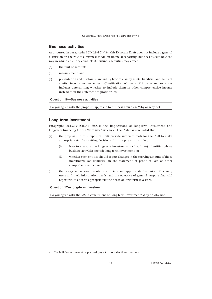## **Business activities**

As discussed in paragraphs BCIN.28–BCIN.34, this Exposure Draft does not include a general discussion on the role of a business model in financial reporting, but does discuss how the way in which an entity conducts its business activities may affect:

- (a) the unit of account;
- (b) measurement; and
- (c) presentation and disclosure, including how to classify assets, liabilities and items of equity, income and expenses. Classification of items of income and expenses includes determining whether to include them in other comprehensive income instead of in the statement of profit or loss.

**Question 16—Business activities**

Do you agree with the proposed approach to business activities? Why or why not?

## **Long-term investment**

Paragraphs BCIN.35–BCIN.44 discuss the implications of long-term investment and long-term financing for the *Conceptual Framework*. The IASB has concluded that:

- (a) the proposals in this Exposure Draft provide sufficient tools for the IASB to make appropriate standard-setting decisions if future projects consider:
	- (i) how to measure the long-term investments (or liabilities) of entities whose business activities include long-term investment; or
	- (ii) whether such entities should report changes in the carrying amount of those investments (or liabilities) in the statement of profit or loss or other comprehensive income.<sup>4</sup>
- (b) the *Conceptual Framework* contains sufficient and appropriate discussion of primary users and their information needs, and the objective of general purpose financial reporting, to address appropriately the needs of long-term investors.

#### **Question 17—Long-term investment**

Do you agree with the IASB's conclusions on long-term investment? Why or why not?

<sup>4</sup> The IASB has no current or planned project to consider these questions.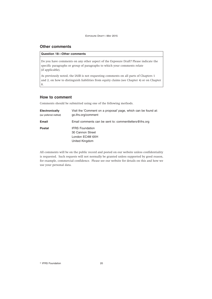## **Other comments**

#### **Question 18—Other comments**

Do you have comments on any other aspect of the Exposure Draft? Please indicate the specific paragraphs or group of paragraphs to which your comments relate (if applicable).

As previously noted, the IASB is not requesting comments on all parts of Chapters 1 and 2, on how to distinguish liabilities from equity claims (see Chapter 4) or on Chapter 8.

## **How to comment**

Comments should be submitted using one of the following methods.

| <b>Electronically</b><br>(our preferred method) | Visit the 'Comment on a proposal' page, which can be found at:<br>go.ifrs.org/comment |
|-------------------------------------------------|---------------------------------------------------------------------------------------|
| Email                                           | Email comments can be sent to: commentletters@ifrs.org                                |
| <b>Postal</b>                                   | <b>IFRS Foundation</b><br>30 Cannon Street<br>London EC4M 6XH<br>United Kingdom       |

All comments will be on the public record and posted on our website unless confidentiality is requested. Such requests will not normally be granted unless supported by good reason, for example, commercial confidence. Please see our website for details on this and how we use your personal data.

**Communist Execution 20** CIFRS Foundation 20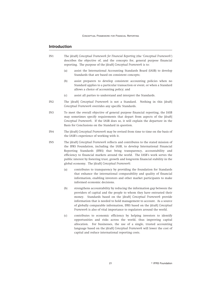## **Introduction**

- IN1 The [draft] *Conceptual Framework for Financial Reporting* (the '*Conceptual Framework*') describes the objective of, and the concepts for, general purpose financial reporting. The purpose of the [draft] *Conceptual Framework* is to:
	- (a) assist the International Accounting Standards Board (IASB) to develop Standards that are based on consistent concepts;
	- (b) assist preparers to develop consistent accounting policies when no Standard applies to a particular transaction or event, or when a Standard allows a choice of accounting policy; and
	- (c) assist all parties to understand and interpret the Standards.
- IN2 The [draft] *Conceptual Framework* is not a Standard. Nothing in this [draft] *Conceptual Framework* overrides any specific Standards.
- IN3 To meet the overall objective of general purpose financial reporting, the IASB may sometimes specify requirements that depart from aspects of the [draft] *Conceptual Framework*. If the IASB does so, it will explain the departure in the Basis for Conclusions on the Standard in question.
- IN4 The [draft] *Conceptual Framework* may be revised from time to time on the basis of the IASB's experience of working with it.
- IN5 The [draft] *Conceptual Framework* reflects and contributes to the stated mission of the IFRS Foundation, including the IASB, to develop International Financial Reporting Standards (IFRS) that bring transparency, accountability and efficiency to financial markets around the world. The IASB's work serves the public interest by fostering trust, growth and long-term financial stability in the global economy. The [draft] *Conceptual Framework*:
	- (a) contributes to transparency by providing the foundation for Standards that enhance the international comparability and quality of financial information, enabling investors and other market participants to make informed economic decisions.
	- (b) strengthens accountability by reducing the information gap between the providers of capital and the people to whom they have entrusted their money. Standards based on the [draft] *Conceptual Framework* provide information that is needed to hold management to account. As a source of globally comparable information, IFRS based on the [draft] *Conceptual Framework* is also of vital importance to regulators around the world.
	- (c) contributes to economic efficiency by helping investors to identify opportunities and risks across the world, thus improving capital allocation. For businesses, the use of a single, trusted accounting language based on the [draft] *Conceptual Framework* will lower the cost of capital and reduce international reporting costs.

<sup>©</sup> IFRS Foundation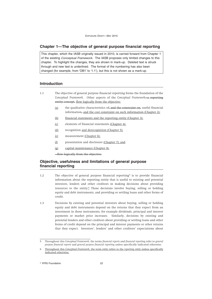## **Chapter 1—The objective of general purpose financial reporting**

This chapter, which the IASB originally issued in 2010, is carried forward from Chapter 1 of the existing *Conceptual Framework*. The IASB proposes only limited changes to this chapter. To highlight the changes, they are shown in mark-up. Deleted text is struck through and new text is underlined. The format of the numbering has also been changed (for example, from 'OB1' to '1.1'), but this is not shown as a mark-up.

## **Introduction**

- 1.1 The objective of general purpose financial reporting forms the foundation of the *Conceptual Framework*. Other aspects of the *Conceptual Framework*—a reporting entity concept, flow logically from the objective:
	- $(a)$  the qualitative characteristics of, and the constraint on, useful financial information, and the cost constraint on such information (Chapter 2);
	- (b) financial statements and the reporting entity (Chapter 3);
	- (c) elements of financial statements (Chapter 4);
	- (d) recognition and derecognition (Chapter 5);
	- (e) measurement (Chapter 6);
	- (f) presentation and disclosure (Chapter 7); and
	- (g) capital maintenance (Chapter 8).

—flow logically from the objective.

## **Objective, usefulness and limitations of general purpose financial reporting**

- 1.2 The objective of general purpose financial reporting<sup>5</sup> is to provide financial information about the reporting entity that is useful to existing and potential investors, lenders and other creditors in making decisions about providing resources to the entity.<sup>6</sup> Those decisions involve buying, selling or holding equity and debt instruments, and providing or settling loans and other forms of credit.
- 1.3 Decisions by existing and potential investors about buying, selling or holding equity and debt instruments depend on the returns that they expect from an investment in those instruments, for example dividends, principal and interest payments or market price increases. Similarly, decisions by existing and potential lenders and other creditors about providing or settling loans and other forms of credit depend on the principal and interest payments or other returns that they expect. Investors', lenders' and other creditors' expectations about

**Communist Execution** 22 **COMPUTE:** 22

<sup>5</sup> Throughout this *Conceptual Framework*, the terms *financial reports* and *financial reporting* refer to *general purpose financial reports* and *general purpose financial reporting* unless specifically indicated otherwise.

<sup>6</sup> Throughout this *Conceptual Framework*, the term *entity* refers to the *reporting entity* unless specifically indicated otherwise.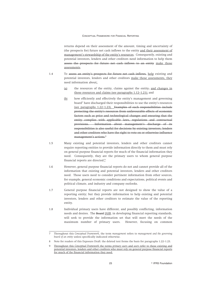returns depend on their assessment of the amount, timing and uncertainty of (the prospects for) future net cash inflows to the entity and their assessment of management's stewardship of the entity's resources. Consequently, existing and potential investors, lenders and other creditors need information to help them assess the prospects for future net cash inflows to an entity make those assessments.

- 1.4 To assess an entity's prospects for future net cash inflows, help existing and potential investors, lenders and other creditors make those assessments, they need information about:
	- (a) the resources of the entity, claims against the entity, and changes in those resources and claims (see paragraphs 1.12–1.21); and
	- (b) how efficiently and effectively the entity's management and governing board<sup>7</sup> have discharged their responsibilities to use the entity's resources (see paragraphs 1.22–1.23). Examples of such responsibilities include protecting the entity's resources from unfavourable effects of economic factors such as price and technological changes and ensuring that the entity complies with applicable laws, regulations and contractual provisions. Information about management's discharge of its responsibilities is also useful for decisions by existing investors, lenders and other creditors who have the right to vote on or otherwise influence management's actions.<sup>8</sup>
- 1.5 Many existing and potential investors, lenders and other creditors cannot require reporting entities to provide information directly to them and must rely on general purpose financial reports for much of the financial information they need. Consequently, they are the primary users to whom general purpose financial reports are directed.<sup>9</sup>
- 1.6 However, general purpose financial reports do not and cannot provide all of the information that existing and potential investors, lenders and other creditors need. Those users need to consider pertinent information from other sources, for example, general economic conditions and expectations, political events and political climate, and industry and company outlooks.
- 1.7 General purpose financial reports are not designed to show the value of a reporting entity; but they provide information to help existing and potential investors, lenders and other creditors to estimate the value of the reporting entity.
- 1.8 Individual primary users have different, and possibly conflicting, information needs and desires. The Board IASB, in developing financial reporting standards, will seek to provide the information set that will meet the needs of the maximum number of primary users. However, focusing on common

<sup>7</sup> Throughout this *Conceptual Framework*, the term *management* refers to *management and the governing board of an entity* unless specifically indicated otherwise.

<sup>8</sup> Note for readers of this Exposure Draft: the deleted text forms the basis for paragraphs 1.22–1.23.

<sup>9</sup> Throughout this *Conceptual Framework* the terms *primary users* and *users* refer to those existing and potential investors, lenders and other creditors who must rely on general purpose financial reports for much of the financial information they need.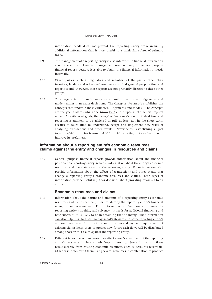information needs does not prevent the reporting entity from including additional information that is most useful to a particular subset of primary users.

- 1.9 The management of a reporting entity is also interested in financial information about the entity. However, management need not rely on general purpose financial reports because it is able to obtain the financial information it needs internally.
- 1.10 Other parties, such as regulators and members of the public other than investors, lenders and other creditors, may also find general purpose financial reports useful. However, those reports are not primarily directed to these other groups.
- 1.11 To a large extent, financial reports are based on estimates, judgements and models rather than exact depictions. The *Conceptual Framework* establishes the concepts that underlie those estimates, judgements and models. The concepts are the goal towards which the Board IASB and preparers of financial reports strive. As with most goals, the *Conceptual Framework*'s vision of ideal financial reporting is unlikely to be achieved in full, at least not in the short term, because it takes time to understand, accept and implement new ways of analysing transactions and other events. Nevertheless, establishing a goal towards which to strive is essential if financial reporting is to evolve so as to improve its usefulness.

## **Information about a reporting entity's economic resources, claims against the entity and changes in resources and claims**

1.12 General purpose financial reports provide information about the financial position of a reporting entity, which is information about the entity's economic resources and the claims against the reporting entity. Financial reports also provide information about the effects of transactions and other events that change a reporting entity's economic resources and claims. Both types of information provide useful input for decisions about providing resources to an entity.

#### **Economic resources and claims**

- 1.13 Information about the nature and amounts of a reporting entity's economic resources and claims can help users to identify the reporting entity's financial strengths and weaknesses. That information can help users to assess the reporting entity's liquidity and solvency, its needs for additional financing and how successful it is likely to be in obtaining that financing. That information can also help users to assess management's stewardship of the reporting entity's economic resources. Information about priorities and payment requirements of existing claims helps users to predict how future cash flows will be distributed among those with a claim against the reporting entity.
- 1.14 Different types of economic resources affect a user's assessment of the reporting entity's prospects for future cash flows differently. Some future cash flows result directly from existing economic resources, such as accounts receivable. Other cash flows result from using several resources in combination to produce

**Communist Execution 24 CONTERS Foundation** 24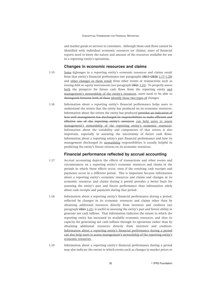and market goods or services to customers. Although those cash flows cannot be identified with individual economic resources (or claims), users of financial reports need to know the nature and amount of the resources available for use in a reporting entity's operations.

#### **Changes in economic resources and claims**

- 1.15 Some Cchanges in a reporting entity's economic resources and claims result from that entity's financial performance (see paragraphs OB17–OB20 1.17–1.20) and other changes in them result from other events or transactions such as issuing debt or equity instruments (see paragraph OB24 1.21). To properly assess both the prospects for future cash flows from the reporting entity and management's stewardship of the entity's resources, users need to be able to distinguish between both of these identify those two types of changes.
- 1.16 Information about a reporting entity's financial performance helps users to understand the return that the entity has produced on its economic resources. Information about the return the entity has produced provides an indication of how well management has discharged its responsibilities to make efficient and effective use of the reporting entity's resources can help users to assess management's stewardship of the reporting entity's economic resources. Information about the variability and components of that return is also important, especially in assessing the uncertainty of future cash flows. Information about a reporting entity's past financial performance and how its management discharged its stewardship responsibilities is usually helpful in predicting the entity's future returns on its economic resources.

#### **Financial performance reflected by accrual accounting**

- 1.17 Accrual accounting depicts the effects of transactions and other events and circumstances on a reporting entity's economic resources and claims in the periods in which those effects occur, even if the resulting cash receipts and payments occur in a different period. This is important because information about a reporting entity's economic resources and claims and changes in its economic resources and claims during a period provides a better basis for assessing the entity's past and future performance than information solely about cash receipts and payments during that period.
- 1.18 Information about a reporting entity's financial performance during a period, reflected by changes in its economic resources and claims other than by obtaining additional resources directly from investors and creditors (see paragraph OB21 1.21), is useful in assessing the entity's past and future ability to generate net cash inflows. That information indicates the extent to which the reporting entity has increased its available economic resources, and thus its capacity for generating net cash inflows through its operations rather than by obtaining additional resources directly from investors and creditors. Information about a reporting entity's financial performance during a period can also help users to assess management's stewardship of the reporting entity's economic resources.
- 1.19 Information about a reporting entity's financial performance during a period may also indicate the extent to which events such as changes in market prices or

<sup>©</sup> IFRS Foundation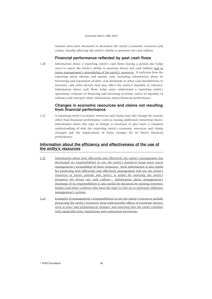interest rates have increased or decreased the entity's economic resources and claims, thereby affecting the entity's ability to generate net cash inflows.

## **Financial performance reflected by past cash flows**

1.20 Information about a reporting entity's cash flows during a period also helps users to assess the entity's ability to generate future net cash inflows and to assess management's stewardship of the entity's resources. It indicates how the reporting entity obtains and spends cash, including information about its borrowing and repayment of debt, cash dividends or other cash distributions to investors, and other factors that may affect the entity's liquidity or solvency. Information about cash flows helps users understand a reporting entity's operations, evaluate its financing and investing activities, assess its liquidity or solvency and interpret other information about financial performance.

### **Changes in economic resources and claims not resulting from financial performance**

1.21 A reporting entity's economic resources and claims may also change for reasons other than financial performance, such as issuing additional ownership shares. Information about this type of change is necessary to give users a complete understanding of why the reporting entity's economic resources and claims changed and the implications of those changes for its future financial performance.

## **Information about the efficiency and effectiveness of the use of the entity's resources**

- 1.22 Information about how efficiently and effectively the entity's management has discharged its responsibilities to use the entity's resources helps users assess management's stewardship of those resources. Such information is also useful for predicting how efficiently and effectively management will use the entity's resources in future periods and, hence, is useful for assessing the entity's prospects for future net cash inflows. Information about management's discharge of its responsibilities is also useful for decisions by existing investors, lenders and other creditors who have the right to vote on or otherwise influence management's actions.
- 1.23 Examples of management's responsibilities to use the entity's resources include protecting the entity's resources from unfavourable effects of economic factors, such as price and technological changes, and ensuring that the entity complies with applicable laws, regulations and contractual provisions.

**Communist Execution** 26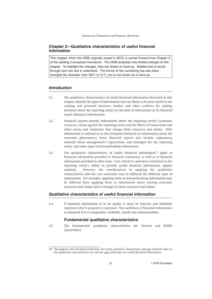## **Chapter 2—Qualitative characteristics of useful financial information**

This chapter, which the IASB originally issued in 2010, is carried forward from Chapter 3 of the existing *Conceptual Framework*. The IASB proposes only limited changes to this chapter. To highlight the changes, they are shown in mark-up. Deleted text is struck through and new text is underlined. The format of the numbering has also been changed (for example, from 'QC1' to '2.1'), but is not shown as a mark-up.

## **Introduction**

- 2.1 The qualitative characteristics of useful financial information discussed in this chapter identify the types of information that are likely to be most useful to the existing and potential investors, lenders and other creditors for making decisions about the reporting entity on the basis of information in its financial report (financial information).
- 2.2 Financial reports provide information about the reporting entity's economic resources, claims against the reporting entity and the effects of transactions and other events and conditions that change those resources and claims. (This information is referred to in the *Conceptual Framework* as information about the economic phenomena.) Some financial reports also include explanatory material about management's expectations and strategies for the reporting entity, and other types of forward-looking information.
- 2.3 The qualitative characteristics of useful financial information<sup>10</sup> apply to financial information provided in financial statements, as well as to financial information provided in other ways. Cost, which is a pervasive constraint on the reporting entity's ability to provide useful financial information, applies similarly. However, the considerations in applying the qualitative characteristics and the cost constraint may be different for different types of information. For example, applying them to forward-looking information may be different from applying them to information about existing economic resources and claims and to changes in those resources and claims.

#### **Qualitative characteristics of useful financial information**

2.4 If financial information is to be useful, it must be relevant and faithfully represent what it purports to represent. The usefulness of financial information is enhanced if it is comparable, verifiable, timely and understandable.

## **Fundamental qualitative characteristics**

2.5 The fundamental qualitative characteristics are *relevance* and *faithful representation*.

<sup>10</sup> Throughout this *Conceptual Framework*, the terms *qualitative characteristics* and *cost constraint* refer to the qualitative characteristics of, and the cost constraint on, useful financial information.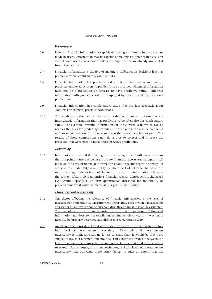#### **Relevance**

- 2.6 Relevant financial information is capable of making a difference in the decisions made by users. Information may be capable of making a difference in a decision even if some users choose not to take advantage of it or are already aware of it from other sources.
- 2.7 Financial information is capable of making a difference in decisions if it has predictive value, confirmatory value or both.
- 2.8 Financial information has predictive value if it can be used as an input to processes employed by users to predict future outcomes. Financial information need not be a prediction or forecast to have predictive value. Financial information with predictive value is employed by users in making their own predictions.
- 2.9 Financial information has confirmatory value if it provides feedback about (confirms or changes) previous evaluations.
- 2.10 The predictive value and confirmatory value of financial information are interrelated. Information that has predictive value often also has confirmatory value. For example, revenue information for the current year, which can be used as the basis for predicting revenues in future years, can also be compared with revenue predictions for the current year that were made in past years. The results of those comparisons can help a user to correct and improve the processes that were used to make those previous predictions.

#### *Materiality*

2.11 Information is material if omitting it or misstating it could influence decisions that the primary users of general purpose financial reports (see paragraph 1.5) make on the basis of financial information about a specific reporting entity. In other words, materiality is an entity-specific aspect of relevance based on the nature or magnitude, or both, of the items to which the information relates in the context of an individual entity's financial report. Consequently, the Board IASB cannot specify a uniform quantitative threshold for materiality or predetermine what could be material in a particular situation.

#### *Measurement uncertainty*

- 2.12 One factor affecting the relevance of financial information is the level of measurement uncertainty. Measurement uncertainty arises when a measure for an asset or a liability cannot be observed directly and must instead be estimated. The use of estimates is an essential part of the preparation of financial information and does not necessarily undermine its relevance, but the estimate needs to be properly described and disclosed (see paragraph 2.20).
- 2.13 An estimate can provide relevant information, even if the estimate is subject to a high level of measurement uncertainty. Nevertheless, if measurement uncertainty is high, an estimate is less relevant than it would be if it were subject to low measurement uncertainty. Thus, there is a trade-off between the level of measurement uncertainty and other factors that make information relevant. For example, for some estimates, a high level of measurement uncertainty may outweigh those other factors to such an extent that the

**Communist Execution** 28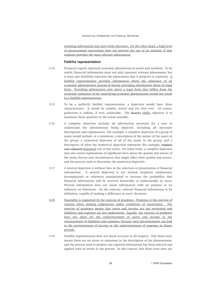resulting information may have little relevance. On the other hand, a high level of measurement uncertainty does not prevent the use of an estimate if that estimate provides the most relevant information.

#### **Faithful representation**

- 2.14 Financial reports represent economic phenomena in words and numbers. To be useful, financial information must not only represent relevant phenomena, but it must also faithfully represent the phenomena that it purports to represent. A faithful representation provides information about the substance of an economic phenomenon instead of merely providing information about its legal form. Providing information only about a legal form that differs from the economic substance of the underlying economic phenomenon would not result in a faithful representation.
- 2.15 To be a perfectly faithful representation, a depiction would have three characteristics. It would be *complete, neutral* and *free from error*. Of course, perfection is seldom, if ever, achievable. The Board's IASB's objective is to maximise those qualities to the extent possible.
- 2.16 A complete depiction includes all information necessary for a user to understand the phenomenon being depicted, including all necessary descriptions and explanations. For example, a complete depiction of a group of assets would include, at a minimum, a description of the nature of the assets in the group, a numerical depiction of all of the assets in the group, and a description of what the numerical depiction represents (for example, original cost, adjusted historical cost or fair value). For some items, a complete depiction may also entail explanations of significant facts about the quality and nature of the items, factors and circumstances that might affect their quality and nature, and the process used to determine the numerical depiction.
- 2.17 A neutral depiction is without bias in the selection or presentation of financial information. A neutral depiction is not slanted, weighted, emphasised, de-emphasised or otherwise manipulated to increase the probability that financial information will be received favourably or unfavourably by users. Neutral information does not mean information with no purpose or no influence on behaviour. On the contrary, relevant financial information is, by definition, capable of making a difference in users' decisions.
- 2.18 Neutrality is supported by the exercise of prudence. Prudence is the exercise of caution when making judgements under conditions of uncertainty. The exercise of prudence means that assets and income are not overstated and liabilities and expenses are not understated. Equally, the exercise of prudence does not allow for the understatement of assets and income or the overstatement of liabilities and expenses, because such mis-statements can lead to the overstatement of income or the understatement of expenses in future periods.
- 2.19 Faithful representation does not mean accurate in all respects. Free from error means there are no errors or omissions in the description of the phenomenon, and the process used to produce the reported information has been selected and applied with no errors in the process. In this context, free from error does not

<sup>©</sup> IFRS Foundation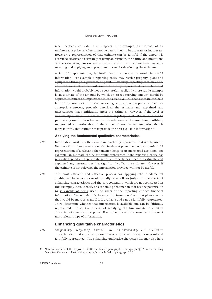mean perfectly accurate in all respects. For example, an estimate of an unobservable price or value cannot be determined to be accurate or inaccurate. However, a representation of that estimate can be faithful if the amount is described clearly and accurately as being an estimate, the nature and limitations of the estimating process are explained, and no errors have been made in selecting and applying an appropriate process for developing the estimate.

A faithful representation, by itself, does not necessarily result in useful information. For example a reporting entity may receive property, plant and equipment through a government grant. Obviously, reporting that an entity acquired an asset at no cost would faithfully represent its cost, but that information would probably not be very useful. A slightly more subtle example is an estimate of the amount by which an asset's carrying amount should be adjusted to reflect an impairment in the asset's value. That estimate can be a faithful representation if the reporting entity has properly applied an appropriate process, properly described the estimate and explained any uncertainties that significantly affect the estimate. However, if the level of uncertainty in such an estimate is sufficiently large, that estimate will not be particularly useful. In other words, the relevance of the asset being faithfully represented is questionable. If there is no alternative representation that is more faithful, that estimate may provide the best available information.<sup>11</sup>

#### **Applying the fundamental qualitative characteristics**

- 2.20 Information must be both relevant and faithfully represented if it is to be useful. Neither a faithful representation of an irrelevant phenomenon nor an unfaithful representation of a relevant phenomenon helps users make good decisions. For example, an estimate can be faithfully represented if the reporting entity has properly applied an appropriate process, properly described the estimate and explained any uncertainties that significantly affect the estimate. However, if the estimate is not relevant, the information provided will not be useful.
- 2.21 The most efficient and effective process for applying the fundamental qualitative characteristics would usually be as follows (subject to the effects of enhancing characteristics and the cost constraint, which are not considered in this example). First, identify an economic phenomenon that has the potential to be is capable of being useful to users of the reporting entity's financial information. Second, identify the type of information about that phenomenon that would be most relevant if it is available and can be faithfully represented. Third, determine whether that information is available and can be faithfully represented. If so, the process of satisfying the fundamental qualitative characteristics ends at that point. If not, the process is repeated with the next most relevant type of information.

#### **Enhancing qualitative characteristics**

2.22 *Comparability*, *verifiability*, *timeliness* and *understandability* are qualitative characteristics that enhance the usefulness of information that is relevant and faithfully represented. The enhancing qualitative characteristics may also help

**Communist Execution 30 30** 

<sup>11</sup> Note for readers of the Exposure Draft: the deleted paragraph is paragraph QC16 in the existing *Conceptual Framework*. Part of the paragraph is included in paragraph 2.20.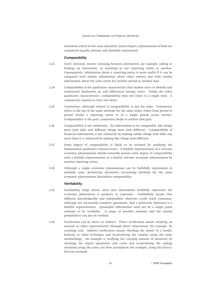determine which of two ways should be used to depict a phenomenon if both are considered equally relevant and faithfully represented.

#### **Comparability**

- 2.23 Users' decisions involve choosing between alternatives, for example, selling or holding an investment, or investing in one reporting entity or another. Consequently, information about a reporting entity is more useful if it can be compared with similar information about other entities and with similar information about the same entity for another period or another date.
- 2.24 Comparability is the qualitative characteristic that enables users to identify and understand similarities in, and differences among, items. Unlike the other qualitative characteristics, comparability does not relate to a single item. A comparison requires at least two items.
- 2.25 Consistency, although related to comparability, is not the same. Consistency refers to the use of the same methods for the same items, either from period to period within a reporting entity or in a single period across entities. Comparability is the goal; consistency helps to achieve that goal.
- 2.26 Comparability is not uniformity. For information to be comparable, like things must look alike and different things must look different. Comparability of financial information is not enhanced by making unlike things look alike any more than it is enhanced by making like things look different.
- 2.27 Some degree of comparability is likely to be attained by satisfying the fundamental qualitative characteristics. A faithful representation of a relevant economic phenomenon should naturally possess some degree of comparability with a faithful representation of a similar relevant economic phenomenon by another reporting entity.
- 2.28 Although a single economic phenomenon can be faithfully represented in multiple ways, permitting alternative accounting methods for the same economic phenomenon diminishes comparability.

#### **Verifiability**

- 2.29 Verifiability helps assure users that information faithfully represents the economic phenomena it purports to represent. Verifiability means that different knowledgeable and independent observers could reach consensus, although not necessarily complete agreement, that a particular depiction is a faithful representation. Quantified information need not be a single point estimate to be verifiable. A range of possible amounts and the related probabilities can also be verified.
- 2.30 Verification can be direct or indirect. Direct verification means verifying an amount or other representation through direct observation, for example, by counting cash. Indirect verification means checking the inputs to a model, formula or other technique and recalculating the outputs using the same methodology. An example is verifying the carrying amount of inventory by checking the inputs (quantities and costs) and recalculating the ending inventory using the same cost flow assumption (for example, using the first-in, first-out method).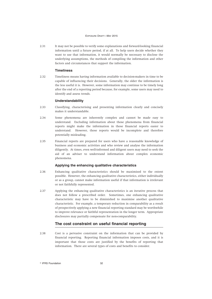2.31 It may not be possible to verify some explanations and forward-looking financial information until a future period, if at all. To help users decide whether they want to use that information, it would normally be necessary to disclose the underlying assumptions, the methods of compiling the information and other factors and circumstances that support the information.

#### **Timeliness**

2.32 Timeliness means having information available to decision-makers in time to be capable of influencing their decisions. Generally, the older the information is the less useful it is. However, some information may continue to be timely long after the end of a reporting period because, for example, some users may need to identify and assess trends.

#### **Understandability**

- 2.33 Classifying, characterising and presenting information clearly and concisely makes it understandable.
- 2.34 Some phenomena are inherently complex and cannot be made easy to understand. Excluding information about those phenomena from financial reports might make the information in those financial reports easier to understand. However, those reports would be incomplete and therefore potentially misleading.
- 2.35 Financial reports are prepared for users who have a reasonable knowledge of business and economic activities and who review and analyse the information diligently. At times, even well-informed and diligent users may need to seek the aid of an adviser to understand information about complex economic phenomena.

#### **Applying the enhancing qualitative characteristics**

- 2.36 Enhancing qualitative characteristics should be maximised to the extent possible. However, the enhancing qualitative characteristics, either individually or as a group, cannot make information useful if that information is irrelevant or not faithfully represented.
- 2.37 Applying the enhancing qualitative characteristics is an iterative process that does not follow a prescribed order. Sometimes, one enhancing qualitative characteristic may have to be diminished to maximise another qualitative characteristic. For example, a temporary reduction in comparability as a result of prospectively applying a new financial reporting standard may be worthwhile to improve relevance or faithful representation in the longer term. Appropriate disclosures may partially compensate for non-comparability.

## **The cost constraint on useful financial reporting**

2.38 Cost is a pervasive constraint on the information that can be provided by financial reporting. Reporting financial information imposes costs, and it is important that those costs are justified by the benefits of reporting that information. There are several types of costs and benefits to consider.

**Communist Execution 32 CONTERS Foundation** 32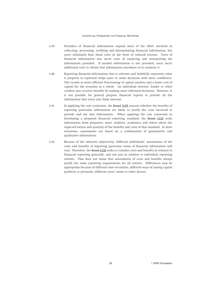- 2.39 Providers of financial information expend most of the effort involved in collecting, processing, verifying and disseminating financial information, but users ultimately bear those costs in the form of reduced returns. Users of financial information also incur costs of analysing and interpreting the information provided. If needed information is not provided, users incur additional costs to obtain that information elsewhere or to estimate it.
- 2.40 Reporting financial information that is relevant and faithfully represents what it purports to represent helps users to make decisions with more confidence. This results in more efficient functioning of capital markets and a lower cost of capital for the economy as a whole. An individual investor, lender or other creditor also receives benefits by making more informed decisions. However, it is not possible for general purpose financial reports to provide all the information that every user finds relevant.
- 2.41 In applying the cost constraint, the Board IASB assesses whether the benefits of reporting particular information are likely to justify the costs incurred to provide and use that information. When applying the cost constraint in developing a proposed financial reporting standard, the Board IASB seeks information from preparers, users, auditors, academics and others about the expected nature and quantity of the benefits and costs of that standard. In most situations, assessments are based on a combination of quantitative and qualitative information.
- 2.42 Because of the inherent subjectivity, different individuals' assessments of the costs and benefits of reporting particular items of financial information will vary. Therefore, the Board IASB seeks to consider costs and benefits in relation to financial reporting generally, and not just in relation to individual reporting entities. That does not mean that assessments of costs and benefits always justify the same reporting requirements for all entities. Differences may be appropriate because of different sizes of entities, different ways of raising capital (publicly or privately), different users' needs or other factors.

<sup>©</sup> IFRS Foundation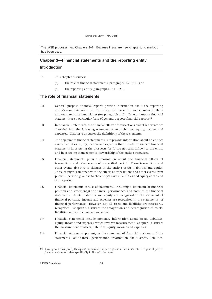The IASB proposes new Chapters 3–7. Because these are new chapters, no mark-up has been used.

# **Chapter 3—Financial statements and the reporting entity Introduction**

- 3.1 This chapter discusses:
	- (a) the role of financial statements (paragraphs 3.2–3.10); and
	- (b) the reporting entity (paragraphs 3.11–3.25).

## **The role of financial statements**

- 3.2 General purpose financial reports provide information about the reporting entity's economic resources, claims against the entity and changes in those economic resources and claims (see paragraph 1.12). General purpose financial statements are a particular form of general purpose financial reports.<sup>12</sup>
- 3.3 In financial statements, the financial effects of transactions and other events are classified into the following elements: assets, liabilities, equity, income and expenses. Chapter 4 discusses the definitions of these elements.
- 3.4 The objective of financial statements is to provide information about an entity's assets, liabilities, equity, income and expenses that is useful to users of financial statements in assessing the prospects for future net cash inflows to the entity and in assessing management's stewardship of the entity's resources.
- 3.5 Financial statements provide information about the financial effects of transactions and other events of a specified period. Those transactions and other events give rise to changes in the entity's assets, liabilities and equity. These changes, combined with the effects of transactions and other events from previous periods, give rise to the entity's assets, liabilities and equity at the end of the period.
- 3.6 Financial statements consist of statements, including a statement of financial position and statement(s) of financial performance, and notes to the financial statements. Assets, liabilities and equity are recognised in the statement of financial position. Income and expenses are recognised in the statement(s) of financial performance. However, not all assets and liabilities are necessarily recognised. Chapter 5 discusses the recognition and derecognition of assets, liabilities, equity, income and expenses.
- 3.7 Financial statements include monetary information about assets, liabilities, equity, income and expenses, which involves measurement. Chapter 6 discusses the measurement of assets, liabilities, equity, income and expenses.
- 3.8 Financial statements present, in the statement of financial position and the statement(s) of financial performance, information about assets, liabilities,

**Communist Execution 34 CONTERS Foundation** 34

<sup>12</sup> Throughout this [draft] *Conceptual Framework*, the term *financial statements* refers to *general purpose financial statements* unless specifically indicated otherwise.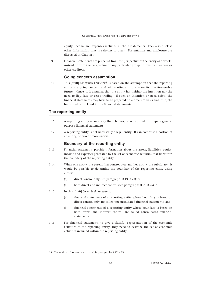equity, income and expenses included in those statements. They also disclose other information that is relevant to users. Presentation and disclosure are discussed in Chapter 7.

3.9 Financial statements are prepared from the perspective of the entity as a whole, instead of from the perspective of any particular group of investors, lenders or other creditors.

## **Going concern assumption**

3.10 This [draft] *Conceptual Framework* is based on the assumption that the reporting entity is a going concern and will continue in operation for the foreseeable future. Hence, it is assumed that the entity has neither the intention nor the need to liquidate or cease trading. If such an intention or need exists, the financial statements may have to be prepared on a different basis and, if so, the basis used is disclosed in the financial statements.

## **The reporting entity**

- 3.11 A reporting entity is an entity that chooses, or is required, to prepare general purpose financial statements.
- 3.12 A reporting entity is not necessarily a legal entity. It can comprise a portion of an entity, or two or more entities.

## **Boundary of the reporting entity**

- 3.13 Financial statements provide information about the assets, liabilities, equity, income and expenses generated by the set of economic activities that lie within the boundary of the reporting entity.
- 3.14 When one entity (the parent) has control over another entity (the subsidiary), it would be possible to determine the boundary of the reporting entity using either:
	- (a) direct control only (see paragraphs 3.19–3.20); or
	- (b) both direct and indirect control (see paragraphs  $3.21-3.25$ ).<sup>13</sup>
- 3.15 In this [draft] *Conceptual Framework*:
	- (a) financial statements of a reporting entity whose boundary is based on direct control only are called unconsolidated financial statements; and
	- (b) financial statements of a reporting entity whose boundary is based on both direct and indirect control are called consolidated financial statements.
- 3.16 For financial statements to give a faithful representation of the economic activities of the reporting entity, they need to describe the set of economic activities included within the reporting entity.

<sup>13</sup> The notion of control is discussed in paragraphs 4.17–4.23.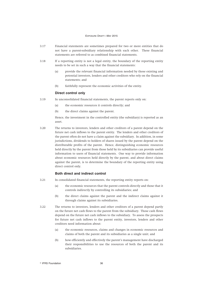- 3.17 Financial statements are sometimes prepared for two or more entities that do not have a parent-subsidiary relationship with each other. These financial statements are referred to as combined financial statements.
- 3.18 If a reporting entity is not a legal entity, the boundary of the reporting entity needs to be set in such a way that the financial statements:
	- (a) provide the relevant financial information needed by those existing and potential investors, lenders and other creditors who rely on the financial statements; and
	- (b) faithfully represent the economic activities of the entity.

#### **Direct control only**

- 3.19 In unconsolidated financial statements, the parent reports only on:
	- (a) the economic resources it controls directly; and
	- (b) the direct claims against the parent.

Hence, the investment in the controlled entity (the subsidiary) is reported as an asset.

3.20 The returns to investors, lenders and other creditors of a parent depend on the future net cash inflows to the parent entity. The lenders and other creditors of the parent often do not have a claim against the subsidiary. In addition, in some jurisdictions, dividends to holders of shares issued by the parent depend on the distributable profits of the parent. Hence, distinguishing economic resources held directly by the parent from those held by its subsidiaries can provide useful information to users of financial statements. One way to provide information about economic resources held directly by the parent, and about direct claims against the parent, is to determine the boundary of the reporting entity using direct control only.

#### **Both direct and indirect control**

- 3.21 In consolidated financial statements, the reporting entity reports on:
	- (a) the economic resources that the parent controls directly and those that it controls indirectly by controlling its subsidiaries; and
	- (b) the direct claims against the parent and the indirect claims against it through claims against its subsidiaries.
- 3.22 The returns to investors, lenders and other creditors of a parent depend partly on the future net cash flows to the parent from the subsidiary. Those cash flows depend on the future net cash inflows to the subsidiary. To assess the prospects for future net cash inflows to the parent entity, investors, lenders and other creditors need information about:
	- (a) the economic resources, claims and changes in economic resources and claims of both the parent and its subsidiaries as a single unit; and
	- (b) how efficiently and effectively the parent's management have discharged their responsibilities to use the resources of both the parent and its subsidiaries.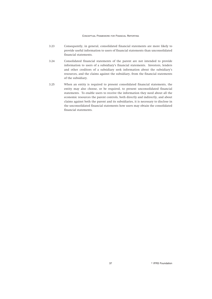- 3.23 Consequently, in general, consolidated financial statements are more likely to provide useful information to users of financial statements than unconsolidated financial statements.
- 3.24 Consolidated financial statements of the parent are not intended to provide information to users of a subsidiary's financial statements. Investors, lenders and other creditors of a subsidiary seek information about the subsidiary's resources, and the claims against the subsidiary, from the financial statements of the subsidiary.
- 3.25 When an entity is required to present consolidated financial statements, the entity may also choose, or be required, to present unconsolidated financial statements. To enable users to receive the information they need about all the economic resources the parent controls, both directly and indirectly, and about claims against both the parent and its subsidiaries, it is necessary to disclose in the unconsolidated financial statements how users may obtain the consolidated financial statements.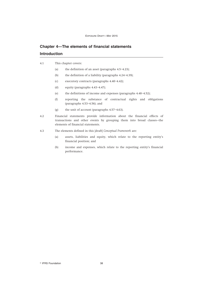# **Chapter 4—The elements of financial statements Introduction**

#### 4.1 This chapter covers:

- (a) the definition of an asset (paragraphs 4.5–4.23);
- (b) the definition of a liability (paragraphs 4.24–4.39);
- (c) executory contracts (paragraphs 4.40–4.42);
- (d) equity (paragraphs 4.43–4.47);
- (e) the definitions of income and expenses (paragraphs 4.48–4.52);
- (f) reporting the substance of contractual rights and obligations (paragraphs 4.53–4.56); and
- (g) the unit of account (paragraphs 4.57–4.63).
- 4.2 Financial statements provide information about the financial effects of transactions and other events by grouping them into broad classes—the elements of financial statements.
- 4.3 The elements defined in this [draft] *Conceptual Framework* are:
	- (a) assets, liabilities and equity, which relate to the reporting entity's financial position; and
	- (b) income and expenses, which relate to the reporting entity's financial performance.

**Communist Execution 38 CONTERS Foundation** 38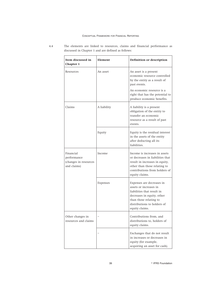| Item discussed in<br><b>Chapter 1</b>                            | Element     | Definition or description                                                                                                                                                                  |
|------------------------------------------------------------------|-------------|--------------------------------------------------------------------------------------------------------------------------------------------------------------------------------------------|
| Resources                                                        | An asset    | An asset is a present<br>economic resource controlled<br>by the entity as a result of<br>past events.                                                                                      |
|                                                                  |             | An economic resource is a<br>right that has the potential to<br>produce economic benefits.                                                                                                 |
| Claims                                                           | A liability | A liability is a present<br>obligation of the entity to<br>transfer an economic<br>resource as a result of past<br>events.                                                                 |
|                                                                  | Equity      | Equity is the residual interest<br>in the assets of the entity<br>after deducting all its<br>liabilities.                                                                                  |
| Financial<br>performance<br>(changes in resources<br>and claims) | Income      | Income is increases in assets<br>or decreases in liabilities that<br>result in increases in equity,<br>other than those relating to<br>contributions from holders of<br>equity claims.     |
|                                                                  | Expenses    | Expenses are decreases in<br>assets or increases in<br>liabilities that result in<br>decreases in equity, other<br>than those relating to<br>distributions to holders of<br>equity claims. |
| Other changes in<br>resources and claims                         |             | Contributions from, and<br>distributions to, holders of<br>equity claims.                                                                                                                  |
|                                                                  |             | Exchanges that do not result<br>in increases or decreases in<br>equity (for example,<br>acquiring an asset for cash).                                                                      |

4.4 The elements are linked to resources, claims and financial performance as discussed in Chapter 1 and are defined as follows: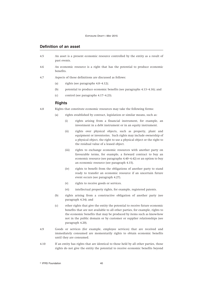## **Definition of an asset**

- 4.5 An asset is a present economic resource controlled by the entity as a result of past events.
- 4.6 An economic resource is a right that has the potential to produce economic benefits.

4.7 Aspects of those definitions are discussed as follows:

- (a) rights (see paragraphs 4.8–4.12);
- (b) potential to produce economic benefits (see paragraphs 4.13–4.16); and
- (c) control (see paragraphs 4.17–4.23).

## **Rights**

4.8 Rights that constitute economic resources may take the following forms:

- (a) rights established by contract, legislation or similar means, such as:
	- (i) rights arising from a financial instrument, for example, an investment in a debt instrument or in an equity instrument.
	- (ii) rights over physical objects, such as property, plant and equipment or inventories. Such rights may include ownership of a physical object, the right to use a physical object or the right to the residual value of a leased object.
	- (iii) rights to exchange economic resources with another party on favourable terms, for example, a forward contract to buy an economic resource (see paragraphs 4.40–4.42) or an option to buy an economic resource (see paragraph 4.15).
	- (iv) rights to benefit from the obligations of another party to stand ready to transfer an economic resource if an uncertain future event occurs (see paragraph 4.27).
	- (v) rights to receive goods or services.
	- (vi) intellectual property rights, for example, registered patents.
- (b) rights arising from a constructive obligation of another party (see paragraph 4.34); and
- (c) other rights that give the entity the potential to receive future economic benefits that are not available to all other parties, for example, rights to the economic benefits that may be produced by items such as know-how not in the public domain or by customer or supplier relationships (see paragraph 4.20).
- 4.9 Goods or services (for example, employee services) that are received and immediately consumed are momentarily rights to obtain economic benefits until they are consumed.
- 4.10 If an entity has rights that are identical to those held by all other parties, those rights do not give the entity the potential to receive economic benefits beyond

**Communist Execution 40** CIFRS Foundation 40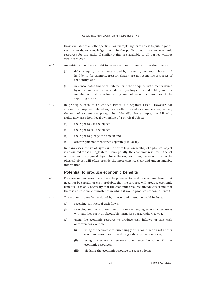those available to all other parties. For example, rights of access to public goods, such as roads, or knowledge that is in the public domain are not economic resources for the entity if similar rights are available to all parties without significant cost.

- 4.11 An entity cannot have a right to receive economic benefits from itself, hence:
	- (a) debt or equity instruments issued by the entity and repurchased and held by it (for example, treasury shares) are not economic resources of that entity; and
	- (b) in consolidated financial statements, debt or equity instruments issued by one member of the consolidated reporting entity and held by another member of that reporting entity are not economic resources of the reporting entity.
- 4.12 In principle, each of an entity's rights is a separate asset. However, for accounting purposes, related rights are often treated as a single asset, namely the unit of account (see paragraphs 4.57–4.63). For example, the following rights may arise from legal ownership of a physical object:
	- (a) the right to use the object;
	- (b) the right to sell the object;
	- (c) the right to pledge the object; and
	- (d) other rights not mentioned separately in (a)–(c).

In many cases, the set of rights arising from legal ownership of a physical object is accounted for as a single item. Conceptually, the economic resource is the set of rights not the physical object. Nevertheless, describing the set of rights as the physical object will often provide the most concise, clear and understandable information.

## **Potential to produce economic benefits**

- 4.13 For the economic resource to have the potential to produce economic benefits, it need not be certain, or even probable, that the resource will produce economic benefits. It is only necessary that the economic resource already exists and that there is at least one circumstance in which it would produce economic benefits.
- 4.14 The economic benefits produced by an economic resource could include:
	- (a) receiving contractual cash flows;
	- (b) receiving another economic resource or exchanging economic resources with another party on favourable terms (see paragraphs 4.40–4.42);
	- (c) using the economic resource to produce cash inflows (or save cash outflows), for example;
		- (i) using the economic resource singly or in combination with other economic resources to produce goods or provide services;
		- (ii) using the economic resource to enhance the value of other economic resources;
		- (iii) pledging the economic resource to secure a loan;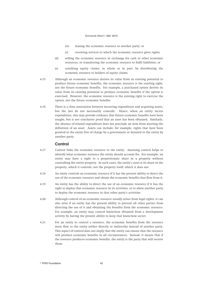- (iv) leasing the economic resource to another party; or
- (v) receiving services to which the economic resource gives rights.
- (d) selling the economic resource in exchange for cash or other economic resources, or transferring the economic resource to fulfil liabilities; or
- (e) satisfying equity claims, in whole or in part, by distributing the economic resource to holders of equity claims.
- 4.15 Although an economic resource derives its value from its existing potential to produce future economic benefits, the economic resource is the existing right, not the future economic benefits. For example, a purchased option derives its value from its existing potential to produce economic benefits if the option is exercised. However, the economic resource is the existing right to exercise the option, not the future economic benefits.
- 4.16 There is a close association between incurring expenditure and acquiring assets, but the two do not necessarily coincide. Hence, when an entity incurs expenditure, this may provide evidence that future economic benefits have been sought, but is not conclusive proof that an asset has been obtained. Similarly, the absence of related expenditure does not preclude an item from meeting the definition of an asset. Assets can include, for example, rights that have been granted to the entity free of charge by a government or donated to the entity by another party.

## **Control**

- 4.17 Control links the economic resource to the entity. Assessing control helps to identify what economic resource the entity should account for. For example, an entity may have a right to a proportionate share in a property without controlling the entire property. In such cases, the entity's asset is its share in the property, which it controls, not the property itself, which it does not.
- 4.18 An entity controls an economic resource if it has the present ability to direct the use of the economic resource and obtain the economic benefits that flow from it.
- 4.19 An entity has the ability to direct the use of an economic resource if it has the right to deploy that economic resource in its activities, or to allow another party to deploy the economic resource in that other party's activities.
- 4.20 Although control of an economic resource usually arises from legal rights, it can also arise if an entity has the present ability to prevent all other parties from directing the use of it and obtaining the benefits from the economic resource. For example, an entity may control know-how obtained from a development activity by having the present ability to keep that know-how secret.
- 4.21 For an entity to control a resource, the economic benefits from the resource must flow to the entity (either directly or indirectly) instead of another party. This aspect of control does not imply that the entity can ensure that the resource will produce economic benefits in all circumstances. Instead, it means that if the resource produces economic benefits, the entity is the party that will receive them.

**Communist Execution 42** CIFRS Foundation 42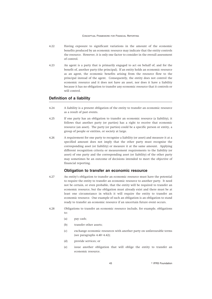- 4.22 Having exposure to significant variations in the amount of the economic benefits produced by an economic resource may indicate that the entity controls the resource. However, it is only one factor to consider in the overall assessment of control.
- 4.23 An agent is a party that is primarily engaged to act on behalf of, and for the benefit of, another party (the principal). If an entity holds an economic resource as an agent, the economic benefits arising from the resource flow to the principal instead of the agent. Consequently, the entity does not control the economic resource and it does not have an asset, nor does it have a liability because it has no obligation to transfer any economic resource that it controls or will control.

## **Definition of a liability**

- 4.24 A liability is a present obligation of the entity to transfer an economic resource as a result of past events.
- 4.25 If one party has an obligation to transfer an economic resource (a liability), it follows that another party (or parties) has a right to receive that economic resource (an asset). The party (or parties) could be a specific person or entity, a group of people or entities, or society at large.
- 4.26 A requirement for one party to recognise a liability (or asset) and measure it at a specified amount does not imply that the other party must recognise the corresponding asset (or liability) or measure it at the same amount. Applying different recognition criteria or measurement requirements to the liability (or asset) of one party and the corresponding asset (or liability) of the other party may sometimes be an outcome of decisions intended to meet the objective of financial reporting.

# **Obligation to transfer an economic resource**

- 4.27 An entity's obligation to transfer an economic resource must have the potential to require the entity to transfer an economic resource to another party. It need not be certain, or even probable, that the entity will be required to transfer an economic resource, but the obligation must already exist and there must be at least one circumstance in which it will require the entity to transfer an economic resource. One example of such an obligation is an obligation to stand ready to transfer an economic resource if an uncertain future event occurs.
- 4.28 Obligations to transfer an economic resource include, for example, obligations to:
	- (a) pay cash;
	- (b) transfer other assets;
	- (c) exchange economic resources with another party on unfavourable terms (see paragraphs 4.40–4.42);
	- (d) provide services; or
	- (e) issue another obligation that will oblige the entity to transfer an economic resource.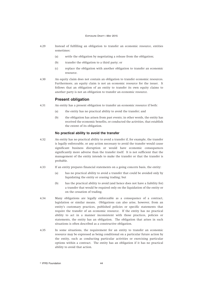- 4.29 Instead of fulfilling an obligation to transfer an economic resource, entities sometimes:
	- (a) settle the obligation by negotiating a release from the obligation;
	- (b) transfer the obligation to a third party; or
	- (c) replace the obligation with another obligation to transfer an economic resource.
- 4.30 An equity claim does not contain an obligation to transfer economic resources. Furthermore, an equity claim is not an economic resource for the issuer. It follows that an obligation of an entity to transfer its own equity claims to another party is not an obligation to transfer an economic resource.

# **Present obligation**

- 4.31 An entity has a present obligation to transfer an economic resource if both:
	- (a) the entity has no practical ability to avoid the transfer; and
	- (b) the obligation has arisen from past events; in other words, the entity has received the economic benefits, or conducted the activities, that establish the extent of its obligation.

#### **No practical ability to avoid the transfer**

- 4.32 An entity has no practical ability to avoid a transfer if, for example, the transfer is legally enforceable, or any action necessary to avoid the transfer would cause significant business disruption or would have economic consequences significantly more adverse than the transfer itself. It is not sufficient that the management of the entity intends to make the transfer or that the transfer is probable.
- 4.33 If an entity prepares financial statements on a going concern basis, the entity:
	- (a) has no practical ability to avoid a transfer that could be avoided only by liquidating the entity or ceasing trading; but
	- (b) has the practical ability to avoid (and hence does not have a liability for) a transfer that would be required only on the liquidation of the entity or on the cessation of trading.
- 4.34 Many obligations are legally enforceable as a consequence of a contract, legislation or similar means. Obligations can also arise, however, from an entity's customary practices, published policies or specific statements that require the transfer of an economic resource. If the entity has no practical ability to act in a manner inconsistent with those practices, policies or statements, the entity has an obligation. The obligation that arises in such situations is often described as a constructive obligation.
- 4.35 In some situations, the requirement for an entity to transfer an economic resource may be expressed as being conditional on a particular future action by the entity, such as conducting particular activities or exercising particular options within a contract. The entity has an obligation if it has no practical ability to avoid that action.

**Communist Execution 44 CONTERS** Foundation 44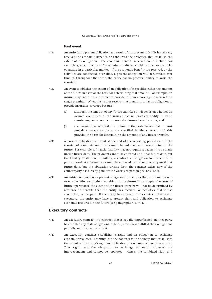## **Past event**

- 4.36 An entity has a present obligation as a result of a past event only if it has already received the economic benefits, or conducted the activities, that establish the extent of its obligation. The economic benefits received could include, for example, goods or services. The activities conducted could include, for example, operating in a particular market. If the economic benefits are received, or the activities are conducted, over time, a present obligation will accumulate over time (if, throughout that time, the entity has no practical ability to avoid the transfer).
- 4.37 An event establishes the extent of an obligation if it specifies either the amount of the future transfer or the basis for determining that amount. For example, an insurer may enter into a contract to provide insurance coverage in return for a single premium. When the insurer receives the premium, it has an obligation to provide insurance coverage because:
	- (a) although the amount of any future transfer still depends on whether an insured event occurs, the insurer has no practical ability to avoid transferring an economic resource if an insured event occurs; and
	- (b) the insurer has received the premium that establishes that it must provide coverage to the extent specified by the contract, and this provides the basis for determining the amount of any future transfer.
- 4.38 A present obligation can exist at the end of the reporting period even if the transfer of economic resources cannot be enforced until some point in the future. For example, a financial liability may not require a payment to be made until a future date. The payment cannot be enforced until that future date, but the liability exists now. Similarly, a contractual obligation for the entity to perform work at a future date cannot be enforced by the counterparty until that future date, but the obligation arising from the contract exists now if the counterparty has already paid for the work (see paragraphs 4.40–4.42).
- 4.39 An entity does not have a present obligation for the costs that will arise if it will receive benefits, or conduct activities, in the future (for example, the costs of future operations); the extent of the future transfer will not be determined by reference to benefits that the entity has received, or activities that it has conducted, in the past. If the entity has entered into a contract that is still executory, the entity may have a present right and obligation to exchange economic resources in the future (see paragraphs 4.40–4.42).

## **Executory contracts**

- 4.40 An executory contract is a contract that is equally unperformed: neither party has fulfilled any of its obligations, or both parties have fulfilled their obligations partially and to an equal extent.
- 4.41 An executory contract establishes a right and an obligation to exchange economic resources. Entering into the contract is the activity that establishes the extent of the entity's right and obligation to exchange economic resources. That right, and the obligation to exchange economic resources, are interdependent and cannot be separated. Hence, the combined right and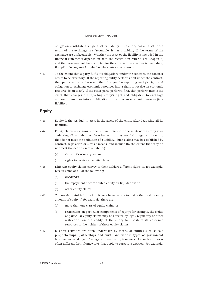obligation constitute a single asset or liability. The entity has an asset if the terms of the exchange are favourable; it has a liability if the terms of the exchange are unfavourable. Whether the asset or the liability is included in the financial statements depends on both the recognition criteria (see Chapter 5) and the measurement basis adopted for the contract (see Chapter 6), including, if applicable, any test for whether the contract in onerous.

4.42 To the extent that a party fulfils its obligations under the contract, the contract ceases to be executory. If the reporting entity performs first under the contract, that performance is the event that changes the reporting entity's right and obligation to exchange economic resources into a right to receive an economic resource (ie an asset). If the other party performs first, that performance is the event that changes the reporting entity's right and obligation to exchange economic resources into an obligation to transfer an economic resource (ie a liability).

#### **Equity**

- 4.43 Equity is the residual interest in the assets of the entity after deducting all its liabilities.
- 4.44 Equity claims are claims on the residual interest in the assets of the entity after deducting all its liabilities. In other words, they are claims against the entity that do not meet the definition of a liability. Such claims may be established by contract, legislation or similar means, and include (to the extent that they do not meet the definition of a liability):
	- (a) shares of various types; and
	- (b) rights to receive an equity claim.
- 4.45 Different equity claims convey to their holders different rights to, for example, receive some or all of the following:
	- (a) dividends;
	- (b) the repayment of contributed equity on liquidation; or
	- (c) other equity claims.
- 4.46 To provide useful information, it may be necessary to divide the total carrying amount of equity if, for example, there are:
	- (a) more than one class of equity claim; or
	- (b) restrictions on particular components of equity; for example, the rights of particular equity claims may be affected by legal, regulatory or other restrictions on the ability of the entity to distribute its economic resources to the holders of those equity claims.
- 4.47 Business activities are often undertaken by means of entities such as sole proprietorships, partnerships and trusts and various types of government business undertakings. The legal and regulatory framework for such entities is often different from frameworks that apply to corporate entities. For example,

**Communist Execution 46 CONTERS Foundation** 46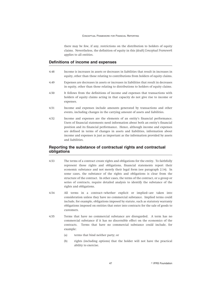there may be few, if any, restrictions on the distribution to holders of equity claims. Nevertheless, the definition of equity in this [draft] *Conceptual Framework* applies to all entities.

## **Definitions of income and expenses**

- 4.48 Income is increases in assets or decreases in liabilities that result in increases in equity, other than those relating to contributions from holders of equity claims.
- 4.49 Expenses are decreases in assets or increases in liabilities that result in decreases in equity, other than those relating to distributions to holders of equity claims.
- 4.50 It follows from the definitions of income and expenses that transactions with holders of equity claims acting in that capacity do not give rise to income or expenses.
- 4.51 Income and expenses include amounts generated by transactions and other events, including changes in the carrying amount of assets and liabilities.
- 4.52 Income and expenses are the elements of an entity's financial performance. Users of financial statements need information about both an entity's financial position and its financial performance. Hence, although income and expenses are defined in terms of changes in assets and liabilities, information about income and expenses is just as important as the information provided by assets and liabilities.

# **Reporting the substance of contractual rights and contractual obligations**

- 4.53 The terms of a contract create rights and obligations for the entity. To faithfully represent those rights and obligations, financial statements report their economic substance and not merely their legal form (see paragraph 2.14). In some cases, the substance of the rights and obligations is clear from the structure of the contract. In other cases, the terms of the contract, or a group or series of contracts, require detailed analysis to identify the substance of the rights and obligations.
- 4.54 All terms in a contract—whether explicit or implied—are taken into consideration unless they have no commercial substance. Implied terms could include, for example, obligations imposed by statute, such as statutory warranty obligations imposed on entities that enter into contracts for the sale of goods to customers.
- 4.55 Terms that have no commercial substance are disregarded. A term has no commercial substance if it has no discernible effect on the economics of the contracts. Terms that have no commercial substance could include, for example:
	- (a) terms that bind neither party; or
	- (b) rights (including options) that the holder will not have the practical ability to exercise.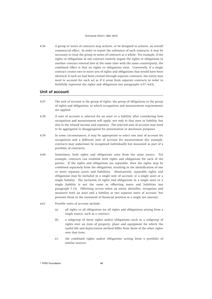4.56 A group or series of contracts may achieve, or be designed to achieve, an overall commercial effect. In order to report the substance of such contracts, it may be necessary to treat the group or series of contracts as a whole. For example, if the rights or obligations in one contract entirely negate the rights or obligations in another contract entered into at the same time with the same counterparty, the combined effect is that no rights or obligations exist. Conversely, if a single contract creates two or more sets of rights and obligations that would have been identical if each set had been created through separate contracts, the entity may need to account for each set as if it arose from separate contracts in order to faithfully represent the rights and obligations (see paragraphs 4.57–4.63).

## **Unit of account**

- 4.57 The unit of account is the group of rights, the group of obligations or the group of rights and obligations, to which recognition and measurement requirements are applied.
- 4.58 A unit of account is selected for an asset or a liability after considering how recognition and measurement will apply, not only to that asset or liability, but also to the related income and expenses. The selected unit of account may need to be aggregated or disaggregated for presentation or disclosure purposes.
- 4.59 In some circumstances, it may be appropriate to select one unit of account for recognition and a different unit of account for measurement (for example, contracts may sometimes be recognised individually but measured as part of a portfolio of contracts).
- 4.60 Sometimes, both rights and obligations arise from the same source. For example, contracts can establish both rights and obligations for each of the parties. If the rights and obligations are separable, then the rights may be combined separately from the obligations, resulting in the identification of one or more separate assets and liabilities. Alternatively, separable rights and obligations may be included in a single unit of account, ie a single asset or a single liability. The inclusion of rights and obligations in a single asset or a single liability is not the same as offsetting assets and liabilities (see paragraph 7.13). Offsetting occurs when an entity identifies, recognises and measures both an asset and a liability as two separate units of account, but presents them in the statement of financial position as a single net amount.
- 4.61 Possible units of account include:
	- (a) all rights or all obligations (or all rights and obligations) arising from a single source, such as a contract;
	- (b) a subgroup of those rights and/or obligations—such as a subgroup of rights over an item of property, plant and equipment for which the useful life and depreciation method differ from those of the other rights over that item;
	- (c) the combined rights and/or obligations arising from a portfolio of similar sources;

**Communist Execution 48 CONTERS Foundation** 48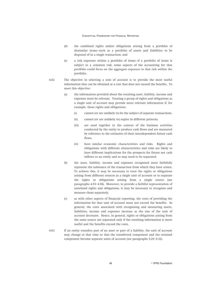- (d) the combined rights and/or obligations arising from a portfolio of dissimilar items—such as a portfolio of assets and liabilities to be disposed of in a single transaction; and
- (e) a risk exposure within a portfolio of items—if a portfolio of items is subject to a common risk, some aspects of the accounting for that portfolio could focus on the aggregate exposure to that risk within the portfolio.
- 4.62 The objective in selecting a unit of account is to provide the most useful information that can be obtained at a cost that does not exceed the benefits. To meet this objective:
	- (a) the information provided about the resulting asset, liability, income and expenses must be relevant. Treating a group of rights and obligations as a single unit of account may provide more relevant information if, for example, those rights and obligations:
		- (i) cannot (or are unlikely to) be the subject of separate transactions.
		- (ii) cannot (or are unlikely to) expire in different patterns.
		- (iii) are used together in the context of the business activities conducted by the entity to produce cash flows and are measured by reference to the estimates of their interdependent future cash flows.
		- (iv) have similar economic characteristics and risks. Rights and obligations with different characteristics and risks are likely to have different implications for the prospects for future net cash inflows to an entity and so may need to be separated.
	- (b) the asset, liability, income and expenses recognised must faithfully represent the substance of the transaction from which they have arisen. To achieve this, it may be necessary to treat the rights or obligations arising from different sources as a single unit of account or to separate the rights or obligations arising from a single source (see paragraphs 4.53–4.56). Moreover, to provide a faithful representation of unrelated rights and obligations, it may be necessary to recognise and measure them separately.
	- (c) as with other aspects of financial reporting, the costs of providing the information for that unit of account must not exceed the benefits. In general, the costs associated with recognising and measuring assets, liabilities, income and expenses increase as the size of the unit of account decreases. Hence, in general, rights or obligations arising from the same source are separated only if the resulting information is more useful and the benefits exceed the costs.
- 4.63 If an entity transfers part of an asset or part of a liability, the unit of account may change at that time so that the transferred component and the retained component become separate units of account (see paragraphs 5.25–5.32).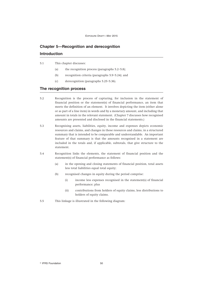# **Chapter 5—Recognition and derecognition**

# **Introduction**

#### 5.1 This chapter discusses:

- (a) the recognition process (paragraphs 5.2–5.8);
- (b) recognition criteria (paragraphs 5.9–5.24); and
- (c) derecognition (paragraphs 5.25–5.36).

#### **The recognition process**

- 5.2 Recognition is the process of capturing, for inclusion in the statement of financial position or the statement(s) of financial performance, an item that meets the definition of an element. It involves depicting the item (either alone or as part of a line item) in words and by a monetary amount, and including that amount in totals in the relevant statement. (Chapter 7 discusses how recognised amounts are presented and disclosed in the financial statements.)
- 5.3 Recognising assets, liabilities, equity, income and expenses depicts economic resources and claims, and changes in those resources and claims, in a structured summary that is intended to be comparable and understandable. An important feature of that summary is that the amounts recognised in a statement are included in the totals and, if applicable, subtotals, that give structure to the statement.
- 5.4 Recognition links the elements, the statement of financial position and the statement(s) of financial performance as follows:
	- (a) in the opening and closing statements of financial position, total assets less total liabilities equal total equity;
	- (b) recognised changes in equity during the period comprise:
		- (i) income less expenses recognised in the statement(s) of financial performance; plus
		- (ii) contributions from holders of equity claims, less distributions to holders of equity claims.

5.5 This linkage is illustrated in the following diagram:

**Communist Execution** 50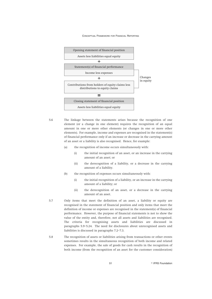

5.6 The linkage between the statements arises because the recognition of one element (or a change in one element) requires the recognition of an equal amount in one or more other elements (or changes in one or more other elements). For example, income and expenses are recognised in the statement(s) of financial performance only if an increase or decrease in the carrying amount of an asset or a liability is also recognised. Hence, for example:

- (a) the recognition of income occurs simultaneously with:
	- (i) the initial recognition of an asset, or an increase in the carrying amount of an asset; or
	- (ii) the derecognition of a liability, or a decrease in the carrying amount of a liability.
- (b) the recognition of expenses occurs simultaneously with:
	- (i) the initial recognition of a liability, or an increase in the carrying amount of a liability; or
	- (ii) the derecognition of an asset, or a decrease in the carrying amount of an asset.
- 5.7 Only items that meet the definition of an asset, a liability or equity are recognised in the statement of financial position and only items that meet the definition of income or expenses are recognised in the statement(s) of financial performance. However, the purpose of financial statements is not to show the value of the entity and, therefore, not all assets and liabilities are recognised. The criteria for recognising assets and liabilities are discussed in paragraphs 5.9–5.24. The need for disclosures about unrecognised assets and liabilities is discussed in paragraphs 7.2–7.3.
- 5.8 The recognition of assets or liabilities arising from transactions or other events sometimes results in the simultaneous recognition of both income and related expenses. For example, the sale of goods for cash results in the recognition of both income (from the recognition of an asset for the customer consideration)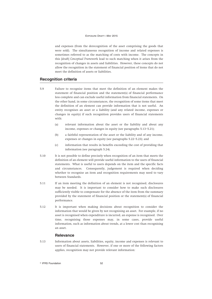and expenses (from the derecognition of the asset comprising the goods that were sold). The simultaneous recognition of income and related expenses is sometimes referred to as the matching of costs with income. The concepts in this [draft] *Conceptual Framewor*k lead to such matching when it arises from the recognition of changes in assets and liabilities. However, these concepts do not allow the recognition in the statement of financial position of items that do not meet the definition of assets or liabilities.

## **Recognition criteria**

- 5.9 Failure to recognise items that meet the definition of an element makes the statement of financial position and the statement(s) of financial performance less complete and can exclude useful information from financial statements. On the other hand, in some circumstances, the recognition of some items that meet the definition of an element can provide information that is not useful. An entity recognises an asset or a liability (and any related income, expenses or changes in equity) if such recognition provides users of financial statements with:
	- (a) relevant information about the asset or the liability and about any income, expenses or changes in equity (see paragraphs 5.13–5.21);
	- (b) a faithful representation of the asset or the liability and of any income, expenses or changes in equity (see paragraphs 5.22–5.23); and
	- (c) information that results in benefits exceeding the cost of providing that information (see paragraph 5.24).
- 5.10 It is not possible to define precisely when recognition of an item that meets the definition of an element will provide useful information to the users of financial statements. What is useful to users depends on the item and the specific facts and circumstances. Consequently, judgement is required when deciding whether to recognise an item and recognition requirements may need to vary between Standards.
- 5.11 If an item meeting the definition of an element is not recognised, disclosures may be needed. It is important to consider how to make such disclosures sufficiently visible to compensate for the absence of the item from the summary provided by the statement of financial position or the statement(s) of financial performance.
- 5.12 It is important when making decisions about recognition to consider the information that would be given by not recognising an asset. For example, if no asset is recognised when expenditure is incurred, an expense is recognised. Over time, recognising those expenses may, in some cases, provide useful information, such as information about trends, at a lower cost than recognising an asset.

## **Relevance**

5.13 Information about assets, liabilities, equity, income and expenses is relevant to users of financial statements. However, if one or more of the following factors applies, recognition may not provide relevant information:

**Communist Execution** 52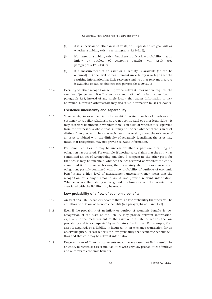- (a) if it is uncertain whether an asset exists, or is separable from goodwill, or whether a liability exists (see paragraphs 5.15–5.16);
- (b) if an asset or a liability exists, but there is only a low probability that an inflow or outflow of economic benefits will result (see paragraphs 5.17–5.19); or
- (c) if a measurement of an asset or a liability is available (or can be obtained), but the level of measurement uncertainty is so high that the resulting information has little relevance and no other relevant measure is available or can be obtained (see paragraphs 5.20–5.21).
- 5.14 Deciding whether recognition will provide relevant information requires the exercise of judgement. It will often be a combination of the factors described in paragraph 5.13, instead of any single factor, that causes information to lack relevance. Moreover, other factors may also cause information to lack relevance.

#### **Existence uncertainty and separability**

- 5.15 Some assets, for example, rights to benefit from items such as know-how and customer or supplier relationships, are not contractual or other legal rights. It may therefore be uncertain whether there is an asset or whether it is separable from the business as a whole (that is, it may be unclear whether there is an asset distinct from goodwill). In some such cases, uncertainty about the existence of an asset combined with the difficulty of separately identifying the asset may mean that recognition may not provide relevant information.
- 5.16 For some liabilities, it may be unclear whether a past event causing an obligation has occurred. For example, if another party claims that the entity has committed an act of wrongdoing and should compensate the other party for that act, it may be uncertain whether the act occurred or whether the entity committed it. In some such cases, the uncertainty about the existence of an obligation, possibly combined with a low probability of outflows of economic benefits and a high level of measurement uncertainty, may mean that the recognition of a single amount would not provide relevant information. Whether or not the liability is recognised, disclosures about the uncertainties associated with the liability may be needed.

#### **Low probability of a flow of economic benefits**

- 5.17 An asset or a liability can exist even if there is a low probability that there will be an inflow or outflow of economic benefits (see paragraphs 4.13 and 4.27).
- 5.18 Even if the probability of an inflow or outflow of economic benefits is low, recognition of the asset or the liability may provide relevant information, especially if the measurement of the asset or the liability reflects the low probability and is accompanied by explanatory disclosures. For example, if an asset is acquired, or a liability is incurred, in an exchange transaction for an observable price, its cost reflects the low probability that economic benefits will flow and that cost may be relevant information.
- 5.19 However, users of financial statements may, in some cases, not find it useful for an entity to recognise assets and liabilities with very low probabilities of inflows and outflows of economic benefits.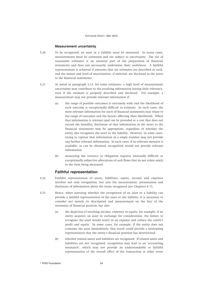#### **Measurement uncertainty**

- 5.20 To be recognised, an asset or a liability must be measured. In many cases, measurements must be estimated and are subject to uncertainty. The use of reasonable estimates is an essential part of the preparation of financial statements and does not necessarily undermine their usefulness. A faithful representation is achieved if amounts that are estimates are described as such, and the nature and level of uncertainties, if material, are disclosed in the notes to the financial statements.
- 5.21 As noted in paragraph 2.13, for some estimates, a high level of measurement uncertainty may contribute to the resulting information having little relevance, even if the estimate is properly described and disclosed. For example, a measurement may not provide relevant information if:
	- (a) the range of possible outcomes is extremely wide and the likelihood of each outcome is exceptionally difficult to estimate. In such cases, the most relevant information for users of financial statements may relate to the range of outcomes and the factors affecting their likelihoods. When that information is relevant (and can be provided at a cost that does not exceed the benefits), disclosure of that information in the notes to the financial statements may be appropriate, regardless of whether the entity also recognises the asset or the liability. However, in some cases, trying to capture that information in a single number may not provide any further relevant information. In such cases, if no relevant measure is available, or can be obtained, recognition would not provide relevant information.
	- (b) measuring the resource or obligation requires unusually difficult or exceptionally subjective allocations of cash flows that do not relate solely to the item being measured.

#### **Faithful representation**

- 5.22 Faithful representation of assets, liabilities, equity, income and expenses involves not only recognition, but also the measurement, presentation and disclosure of information about the items recognised (see Chapters 6–7).
- 5.23 Hence, when assessing whether the recognition of an asset or a liability can provide a faithful representation of the asset or the liability, it is necessary to consider not merely its description and measurement on the face of the statement of financial position, but also:
	- (a) the depiction of resulting income, expenses or equity; for example, if an entity acquires an asset in exchange for consideration, the failure to recognise the asset would result in an expense and reduce the entity's profit and equity. In some cases, for example, if the entity does not consume the asset immediately, that result could provide a misleading representation that the entity's financial position has deteriorated.
	- (b) whether related assets and liabilities are recognised. If related assets and liabilities are not recognised, recognition may lead to an 'accounting mismatch', which may not provide an understandable or faithful representation of the overall effect of the transaction or other event

**Communist Execution** 54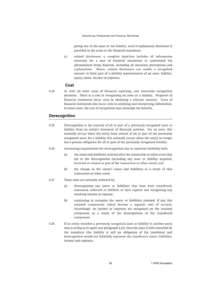giving rise to the asset or the liability, even if explanatory disclosure is provided in the notes to the financial statements.

(c) related disclosures: a complete depiction includes all information necessary for a user of financial statements to understand the phenomenon being depicted, including all necessary descriptions and explanations. Hence, related disclosures can enable a recognised amount to form part of a faithful representation of an asset, liability, equity claim, income or expenses.

#### **Cost**

5.24 As with all other areas of financial reporting, cost constrains recognition decisions. There is a cost to recognising an asset or a liability. Preparers of financial statements incur costs in obtaining a relevant measure. Users of financial statements also incur costs in analysing and interpreting information. In some cases, the cost of recognition may outweigh the benefits.

## **Derecognition**

| 5.25 | Derecognition is the removal of all or part of a previously recognised asset or  |  |  |
|------|----------------------------------------------------------------------------------|--|--|
|      | liability from an entity's statement of financial position. For an asset, this   |  |  |
|      | normally occurs when the entity loses control of all or part of the previously   |  |  |
|      | recognised asset; for a liability this normally occurs when the entity no longer |  |  |
|      | has a present obligation for all or part of the previously recognised liability. |  |  |
|      |                                                                                  |  |  |

- 5.26 Accounting requirements for derecognition aim to represent faithfully both:
	- (a) the assets and liabilities retained after the transaction or other event that led to the derecognition (including any asset or liability acquired, incurred or created as part of the transaction or other event); and
	- (b) the change in the entity's assets and liabilities as a result of that transaction or other event.
- 5.27 Those aims are normally achieved by:
	- (a) derecognising any assets or liabilities that have been transferred, consumed, collected or fulfilled, or have expired and recognising any resulting income or expense.
	- (b) continuing to recognise the assets or liabilities retained, if any (the retained component), which become a separate unit of account. Accordingly, no income or expenses are recognised on the retained component as a result of the derecognition of the transferred component.
- 5.28 If an entity transfers a previously recognised asset or liability to another party that is acting as its agent (see paragraph 4.23), then the asset is still controlled by the transferor (the liability is still an obligation of the transferor) and derecognition would not faithfully represent the transferor's assets, liabilities, income and expenses.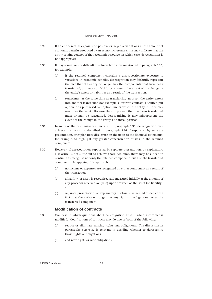- 5.29 If an entity retains exposure to positive or negative variations in the amount of economic benefits produced by an economic resource, this may indicate that the entity retains control of that economic resource, in which case, derecognition is not appropriate.
- 5.30 It may sometimes be difficult to achieve both aims mentioned in paragraph 5.26, for example:
	- (a) if the retained component contains a disproportionate exposure to variations in economic benefits, derecognition may faithfully represent the fact that the entity no longer has the components that have been transferred, but may not faithfully represent the extent of the change in the entity's assets or liabilities as a result of the transaction.
	- (b) sometimes, at the same time as transferring an asset, the entity enters into another transaction (for example, a forward contract, a written put option, or a purchased call option) under which the entity must or may reacquire the asset. Because the component that has been transferred must or may be reacquired, derecognising it may misrepresent the extent of the change in the entity's financial position.
- 5.31 In some of the circumstances described in paragraph 5.30, derecognition may achieve the two aims described in paragraph 5.26 if supported by separate presentation, or explanatory disclosure, in the notes to the financial statements; for example, to highlight any greater concentration of risk in the retained component.
- 5.32 However, if derecognition supported by separate presentation, or explanatory disclosure, is not sufficient to achieve those two aims, there may be a need to continue to recognise not only the retained component, but also the transferred component. In applying this approach:
	- (a) no income or expenses are recognised on either component as a result of the transaction;
	- (b) a liability (or asset) is recognised and measured initially at the amount of any proceeds received (or paid) upon transfer of the asset (or liability); and
	- (c) separate presentation, or explanatory disclosure, is needed to depict the fact that the entity no longer has any rights or obligations under the transferred component.

## **Modification of contracts**

- 5.33 One case in which questions about derecognition arise is when a contract is modified. Modifications of contracts may do one or both of the following:
	- (a) reduce or eliminate existing rights and obligations. The discussion in paragraphs 5.25–5.32 is relevant in deciding whether to derecognise those rights or obligations.
	- (b) add new rights or new obligations.

**Communist Execution** 56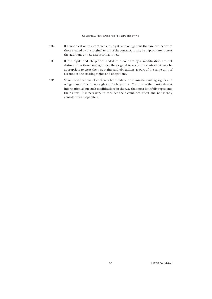- 5.34 If a modification to a contract adds rights and obligations that are distinct from those created by the original terms of the contract, it may be appropriate to treat the additions as new assets or liabilities.
- 5.35 If the rights and obligations added to a contract by a modification are not distinct from those arising under the original terms of the contract, it may be appropriate to treat the new rights and obligations as part of the same unit of account as the existing rights and obligations.
- 5.36 Some modifications of contracts both reduce or eliminate existing rights and obligations and add new rights and obligations. To provide the most relevant information about such modifications in the way that most faithfully represents their effect, it is necessary to consider their combined effect and not merely consider them separately.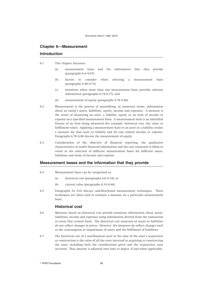## **Chapter 6—Measurement**

## **Introduction**

- 6.1 This chapter discusses:
	- (a) measurement bases and the information that they provide (paragraphs 6.4–6.47);
	- (b) factors to consider when selecting a measurement basis (paragraphs 6.48–6.73).
	- (c) situations when more than one measurement basis provides relevant information (paragraphs 6.74–6.77); and
	- (d) measurement of equity (paragraphs 6.78–6.80).
- 6.2 Measurement is the process of quantifying, in monetary terms, information about an entity's assets, liabilities, equity, income and expenses. A measure is the result of measuring an asset, a liability, equity or an item of income or expense on a specified measurement basis. A measurement basis is an identified feature of an item being measured (for example, historical cost, fair value or fulfilment value). Applying a measurement basis to an asset or a liability creates a measure for that asset or liability and for any related income or expense. Paragraphs 6.78–6.80 discuss the measurement of equity.
- 6.3 Consideration of the objective of financial reporting, the qualitative characteristics of useful financial information and the cost constraint is likely to result in the selection of different measurement bases for different assets, liabilities and items of income and expense.

## **Measurement bases and the information that they provide**

- 6.4 Measurement bases can be categorised as:
	- (a) historical cost (paragraphs 6.6–6.18); or
	- (b) current value (paragraphs 6.19–6.46).
- 6.5 Paragraphs A1–A10 discuss cash-flow-based measurement techniques. These techniques are often used to estimate a measure on a particular measurement basis.

#### **Historical cost**

- 6.6 Measures based on historical cost provide monetary information about assets, liabilities, income and expenses using information derived from the transaction or event that created them. The historical cost measures of assets or liabilities do not reflect changes in prices. However, the measures do reflect changes such as the consumption or impairment of assets and the fulfilment of liabilities.
- 6.7 The historical cost of a non-financial asset at the time of the asset's acquisition or construction is the value of all the costs incurred in acquiring or constructing the asset, including both the consideration given and the transaction costs incurred. That amount is adjusted over time to depict, if and when applicable:

**Communist Execution** 58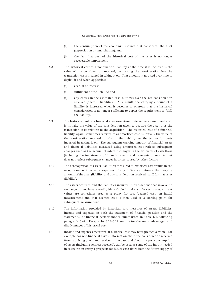- (a) the consumption of the economic resource that constitutes the asset (depreciation or amortisation); and
- (b) the fact that part of the historical cost of the asset is no longer recoverable (impairment).
- 6.8 The historical cost of a non-financial liability at the time it is incurred is the value of the consideration received, comprising the consideration less the transaction costs incurred in taking it on. That amount is adjusted over time to depict, if and when applicable:
	- (a) accrual of interest;
	- (b) fulfilment of the liability; and
	- (c) any excess in the estimated cash outflows over the net consideration received (onerous liabilities). As a result, the carrying amount of a liability is increased when it becomes so onerous that the historical consideration is no longer sufficient to depict the requirement to fulfil the liability.
- 6.9 The historical cost of a financial asset (sometimes referred to as amortised cost) is initially the value of the consideration given to acquire the asset plus the transaction costs relating to the acquisition. The historical cost of a financial liability (again, sometimes referred to as amortised cost) is initially the value of the consideration received to take on the liability less the transaction costs incurred in taking it on. The subsequent carrying amount of financial assets and financial liabilities measured using amortised cost reflects subsequent changes such as the accrual of interest, changes in the estimates of cash flows (including the impairment of financial assets) and payments or receipts, but does not reflect subsequent changes in prices caused by other factors.
- 6.10 The derecognition of assets (liabilities) measured at historical cost results in the recognition as income or expenses of any difference between the carrying amount of the asset (liability) and any consideration received (paid) for that asset (liability).
- 6.11 The assets acquired and the liabilities incurred in transactions that involve no exchange do not have a readily identifiable initial cost. In such cases, current values are sometimes used as a proxy for cost (deemed cost) on initial measurement and that deemed cost is then used as a starting point for subsequent measurement.
- 6.12 The information provided by historical cost measures of assets, liabilities, income and expenses in both the statement of financial position and the statement(s) of financial performance is summarised in Table 6.1, following paragraph 6.47. Paragraphs 6.13–6.17 summarise the main advantages and disadvantages of historical cost.
- 6.13 Income and expenses measured at historical cost may have predictive value. For example, for non-financial assets, information about the consideration received from supplying goods and services in the past, and about the past consumption of assets (including services received), can be used as some of the inputs needed in assessing an entity's prospects for future cash flows from the future supply of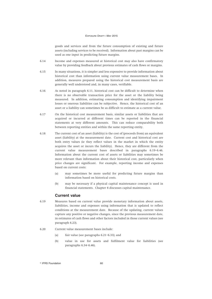goods and services and from the future consumption of existing and future assets (including services to be received). Information about past margins can be used as one input in predicting future margins.

- 6.14 Income and expenses measured at historical cost may also have confirmatory value by providing feedback about previous estimates of cash flows or margins.
- 6.15 In many situations, it is simpler and less expensive to provide information about historical cost than information using current value measurement bases. In addition, measures prepared using the historical cost measurement basis are generally well understood and, in many cases, verifiable.
- 6.16 As noted in paragraph 6.11, historical cost can be difficult to determine when there is no observable transaction price for the asset or the liability being measured. In addition, estimating consumption and identifying impairment losses or onerous liabilities can be subjective. Hence, the historical cost of an asset or a liability can sometimes be as difficult to estimate as a current value.
- 6.17 On the historical cost measurement basis, similar assets or liabilities that are acquired or incurred at different times can be reported in the financial statements at very different amounts. This can reduce comparability both between reporting entities and within the same reporting entity.
- 6.18 The current cost of an asset (liability) is the cost of (proceeds from) an equivalent asset (liability) at the measurement date. Current cost and historical cost are both entry values (ie they reflect values in the market in which the entity acquires the asset or incurs the liability). Hence, they are different from the current value measurement bases described in paragraphs 6.19–6.46. Information about the current cost of assets or liabilities may sometimes be more relevant than information about their historical cost, particularly when price changes are significant. For example, reporting income and expenses based on current costs:
	- (a) may sometimes be more useful for predicting future margins than information based on historical costs.
	- (b) may be necessary if a physical capital maintenance concept is used in financial statements. Chapter 8 discusses capital maintenance.

## **Current value**

- 6.19 Measures based on current value provide monetary information about assets, liabilities, income and expenses using information that is updated to reflect conditions at the measurement date. Because of the updating, current values capture any positive or negative changes, since the previous measurement date, in estimates of cash flows and other factors included in those current values (see paragraph 6.23).
- 6.20 Current value measurement bases include:
	- (a) fair value (see paragraphs 6.21–6.33); and
	- (b) value in use for assets and fulfilment value for liabilities (see paragraphs 6.34–6.46).

<sup>&</sup>lt;sup>©</sup> IFRS Foundation 60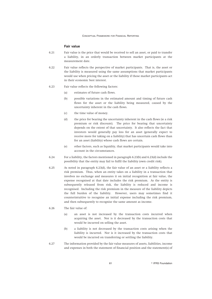#### **Fair value**

- 6.21 Fair value is the price that would be received to sell an asset, or paid to transfer a liability, in an orderly transaction between market participants at the measurement date.
- 6.22 Fair value reflects the perspective of market participants. That is, the asset or the liability is measured using the same assumptions that market participants would use when pricing the asset or the liability if those market participants act in their economic best interest.
- 6.23 Fair value reflects the following factors:
	- (a) estimates of future cash flows.
	- (b) possible variations in the estimated amount and timing of future cash flows for the asset or the liability being measured, caused by the uncertainty inherent in the cash flows.
	- (c) the time value of money.
	- (d) the price for bearing the uncertainty inherent in the cash flows (ie a risk premium or risk discount). The price for bearing that uncertainty depends on the extent of that uncertainty. It also reflects the fact that investors would generally pay less for an asset (generally expect to receive more for taking on a liability) that has uncertain cash flows than for an asset (liability) whose cash flows are certain.
	- (e) other factors, such as liquidity, that market participants would take into account in the circumstances.
- 6.24 For a liability, the factors mentioned in paragraph 6.23(b) and 6.23(d) include the possibility that the entity may fail to fulfil the liability (own credit risk).
- 6.25 As noted in paragraph 6.23(d), the fair value of an asset or a liability reflects a risk premium. Thus, when an entity takes on a liability in a transaction that involves no exchange and measures it on initial recognition at fair value, the expense recognised at that date includes the risk premium. As the entity is subsequently released from risk, the liability is reduced and income is recognised. Including the risk premium in the measure of the liability depicts the full burden of the liability. However, users may sometimes find it counterintuitive to recognise an initial expense including the risk premium, and then subsequently to recognise the same amount as income.
- 6.26 The fair value of:
	- (a) an asset is not increased by the transaction costs incurred when acquiring the asset. Nor is it decreased by the transaction costs that would be incurred on selling the asset.
	- (b) a liability is not decreased by the transaction costs arising when the liability is incurred. Nor is it increased by the transaction costs that would be incurred on transferring or settling the liability.
- 6.27 The information provided by the fair value measures of assets, liabilities, income and expenses in both the statement of financial position and the statement(s) of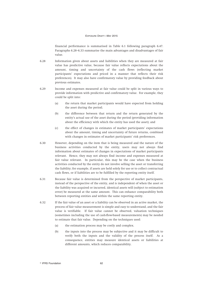financial performance is summarised in Table 6.1 following paragraph 6.47. Paragraphs 6.28–6.33 summarise the main advantages and disadvantages of fair value.

- 6.28 Information given about assets and liabilities when they are measured at fair value has predictive value, because fair value reflects expectations about the amount, timing and uncertainty of the cash flows (reflecting market participants' expectations and priced in a manner that reflects their risk preferences). It may also have confirmatory value by providing feedback about previous estimates.
- 6.29 Income and expenses measured at fair value could be split in various ways to provide information with predictive and confirmatory value. For example, they could be split into:
	- (a) the return that market participants would have expected from holding the asset during the period;
	- (b) the difference between that return and the return generated by the entity's actual use of the asset during the period (providing information about the efficiency with which the entity has used the asset); and
	- (c) the effect of changes in estimates of market participants' expectations about the amount, timing and uncertainty of future returns, combined with changes in estimates of market participants' risk preferences.
- 6.30 However, depending on the item that is being measured and the nature of the business activities conducted by the entity, users may not always find information about estimates of changes in expectations of market participants relevant. Hence, they may not always find income and expenses measured at fair value relevant. In particular, this may be the case when the business activities conducted by the entity do not involve selling the asset or transferring the liability; for example, if assets are held solely for use or to collect contractual cash flows, or if liabilities are to be fulfilled by the reporting entity itself.
- 6.31 Because fair value is determined from the perspective of market participants, instead of the perspective of the entity, and is independent of when the asset or the liability was acquired or incurred, identical assets will (subject to estimation error) be measured at the same amount. This can enhance comparability both between reporting entities and within the same reporting entity.
- 6.32 If the fair value of an asset or a liability can be observed in an active market, the process of fair value measurement is simple and easy to understand, and the fair value is verifiable. If fair value cannot be observed, valuation techniques (sometimes including the use of cash-flow-based measurements) may be needed to estimate that fair value. Depending on the techniques used:
	- (a) the estimation process may be costly and complex.
	- (b) the inputs into the process may be subjective and it may be difficult to verify both the inputs and the validity of the process itself. As a consequence, entities may measure identical assets or liabilities at different amounts, which reduces comparability.

**Communist Execution 62** COMPUTER SCIENCE 62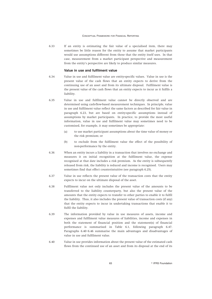6.33 If an entity is estimating the fair value of a specialised item, there may sometimes be little reason for the entity to assume that market participants would use assumptions different from those that the entity itself uses. In that case, measurement from a market participant perspective and measurement from the entity's perspective are likely to produce similar measures.

#### **Value in use and fulfilment value**

- 6.34 Value in use and fulfilment value are entity-specific values. Value in use is the present value of the cash flows that an entity expects to derive from the continuing use of an asset and from its ultimate disposal. Fulfilment value is the present value of the cash flows that an entity expects to incur as it fulfils a liability.
- 6.35 Value in use and fulfilment value cannot be directly observed and are determined using cash-flow-based measurement techniques. In principle, value in use and fulfilment value reflect the same factors as described for fair value in paragraph 6.23, but are based on entity-specific assumptions instead of assumptions by market participants. In practice, to provide the most useful information, value in use and fulfilment value may sometimes need to be customised, for example, it may sometimes be appropriate:
	- (a) to use market participant assumptions about the time value of money or the risk premium; or
	- (b) to exclude from the fulfilment value the effect of the possibility of non-performance by the entity.
- 6.36 When an entity incurs a liability in a transaction that involves no exchange and measures it on initial recognition at the fulfilment value, the expense recognised at that date includes a risk premium. As the entity is subsequently released from risk, the liability is reduced and income is recognised. Users may sometimes find that effect counterintuitive (see paragraph 6.25).
- 6.37 Value in use reflects the present value of the transaction costs that the entity expects to incur on the ultimate disposal of the asset.
- 6.38 Fulfilment value not only includes the present value of the amounts to be transferred to the liability counterparty, but also the present value of the amounts that the entity expects to transfer to other parties to enable it to fulfil the liability. Thus, it also includes the present value of transaction costs (if any) that the entity expects to incur in undertaking transactions that enable it to fulfil the liability.
- 6.39 The information provided by value in use measures of assets, income and expenses and fulfilment value measures of liabilities, income and expenses in both the statement of financial position and the statement(s) of financial performance is summarised in Table 6.1, following paragraph 6.47. Paragraphs 6.40–6.46 summarise the main advantages and disadvantages of value in use and fulfilment value.
- 6.40 Value in use provides information about the present value of the estimated cash flows from the continued use of an asset and from its disposal at the end of its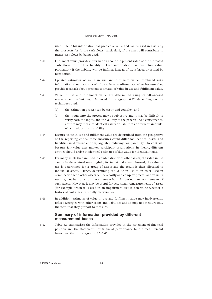useful life. This information has predictive value and can be used in assessing the prospects for future cash flows, particularly if the asset will contribute to future cash flows by being used.

- 6.41 Fulfilment value provides information about the present value of the estimated cash flows to fulfil a liability. That information has predictive value; particularly if the liability will be fulfilled instead of transferred or settled by negotiation.
- 6.42 Updated estimates of value in use and fulfilment value, combined with information about actual cash flows, have confirmatory value because they provide feedback about previous estimates of value in use and fulfilment value.
- 6.43 Value in use and fulfilment value are determined using cash-flow-based measurement techniques. As noted in paragraph 6.32, depending on the techniques used:
	- (a) the estimation process can be costly and complex; and
	- (b) the inputs into the process may be subjective and it may be difficult to verify both the inputs and the validity of the process. As a consequence, entities may measure identical assets or liabilities at different amounts, which reduces comparability.
- 6.44 Because value in use and fulfilment value are determined from the perspective of the reporting entity, those measures could differ for identical assets and liabilities in different entities, arguably reducing comparability. In contrast, because fair value uses market participant assumptions, in theory, different entities should arrive at identical estimates of fair value for identical items.
- 6.45 For many assets that are used in combination with other assets, the value in use cannot be determined meaningfully for individual assets. Instead, the value in use is determined for a group of assets and the result is then allocated to individual assets. Hence, determining the value in use of an asset used in combination with other assets can be a costly and complex process and value in use may not be a practical measurement basis for periodic remeasurements of such assets. However, it may be useful for occasional remeasurements of assets (for example, when it is used in an impairment test to determine whether a historical cost measure is fully recoverable).
- 6.46 In addition, estimates of value in use and fulfilment value may inadvertently reflect synergies with other assets and liabilities and so may not measure only the item that they purport to measure.

## **Summary of information provided by different measurement bases**

6.47 Table 6.1 summarises the information provided in the statement of financial position and the statement(s) of financial performance by the measurement bases described in paragraphs 6.6–6.46.

Communication 64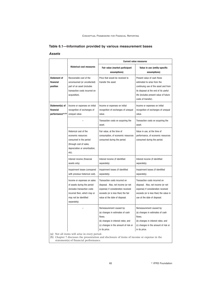# **Table 6.1—Information provided by various measurement bases**

# *Assets*

|                                                                                              |                                                                                                                                                                    | <b>Current value measures</b>                                                                                                                                                     |                                                                                                                                                                                                              |  |
|----------------------------------------------------------------------------------------------|--------------------------------------------------------------------------------------------------------------------------------------------------------------------|-----------------------------------------------------------------------------------------------------------------------------------------------------------------------------------|--------------------------------------------------------------------------------------------------------------------------------------------------------------------------------------------------------------|--|
|                                                                                              | <b>Historical cost measures</b>                                                                                                                                    | Fair value (market participant<br>assumptions)                                                                                                                                    | Value in use (entity-specific<br>assumptions)                                                                                                                                                                |  |
| <b>Statement of</b><br>financial<br>position                                                 | Recoverable cost of the<br>unconsumed (or uncollected)<br>part of an asset (includes<br>transaction costs incurred on<br>acquisition).                             | Price that would be received to<br>transfer the asset.                                                                                                                            | Present value of cash flows<br>estimated to arise from the<br>continuing use of the asset and from<br>its disposal at the end of its useful<br>life (includes present value of future<br>costs of transfer). |  |
| Statement(s) of<br>financial<br>performance <sup>(a),(b)</sup>                               | Income or expenses on initial<br>recognition of exchanges of<br>unequal value.                                                                                     | Income or expenses on initial<br>recognition of exchanges of unequal<br>value.                                                                                                    | Income or expenses on initial<br>recognition of exchanges of unequal<br>value.                                                                                                                               |  |
|                                                                                              |                                                                                                                                                                    | Transaction costs on acquiring the<br>asset.                                                                                                                                      | Transaction costs on acquiring the<br>asset.                                                                                                                                                                 |  |
|                                                                                              | Historical cost of the<br>economic resources<br>consumed in the period<br>(through cost of sales,<br>depreciation or amortisation,<br>etc).                        | Fair value, at the time of<br>consumption, of economic resources<br>consumed during the period.                                                                                   | Value in use, at the time of<br>performance, of economic resources<br>consumed during the period.                                                                                                            |  |
|                                                                                              | Interest income (financial<br>assets only).                                                                                                                        | Interest income (if identified<br>separately).                                                                                                                                    | Interest income (if identified<br>separately).                                                                                                                                                               |  |
|                                                                                              | Impairment losses (compared<br>with previous historical cost).                                                                                                     | Impairment losses (if identified<br>separately).                                                                                                                                  | Impairment losses (if identified<br>separately).                                                                                                                                                             |  |
|                                                                                              | Income or expenses on sales<br>of assets during the period<br>(includes transaction costs)<br>incurred then, which may or<br>may not be identified<br>separately). | Transaction costs incurred on<br>disposal. Also, net income (or net<br>expense) if consideration received<br>exceeds (or is less than) the fair<br>value at the date of disposal. | Transaction costs incurred on<br>disposal. Also, net income (or net<br>expense) if consideration received<br>exceeds (or is less than) the value in<br>use at the date of disposal.                          |  |
|                                                                                              | (a) Not all items will arise in every period.                                                                                                                      | Remeasurement caused by:<br>(a) changes in estimates of cash<br>flows;<br>(b) changes in interest rates; and<br>(c) changes in the amount of risk or<br>in its price.             | Remeasurement caused by:<br>(a) changes in estimates of cash<br>flows;<br>(b) changes in interest rates; and<br>(c) changes in the amount of risk or<br>in its price.                                        |  |
| (b) Chapter 7 discusses the presentation and disclosure of items of income or expense in the |                                                                                                                                                                    |                                                                                                                                                                                   |                                                                                                                                                                                                              |  |

statement(s) of financial performance.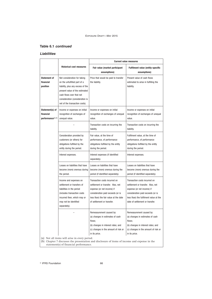# **Table 6.1** *continued*

# *Liabilities*

|                                                                |                                                                                                                                                                                                                                      | <b>Current value measures</b>                                                                                                                                                                                |                                                                                                                                                                                                                    |  |
|----------------------------------------------------------------|--------------------------------------------------------------------------------------------------------------------------------------------------------------------------------------------------------------------------------------|--------------------------------------------------------------------------------------------------------------------------------------------------------------------------------------------------------------|--------------------------------------------------------------------------------------------------------------------------------------------------------------------------------------------------------------------|--|
|                                                                | <b>Historical cost measures</b>                                                                                                                                                                                                      | Fair value (market participant<br>assumptions)                                                                                                                                                               | Fulfilment value (entity-specific<br>assumptions)                                                                                                                                                                  |  |
| <b>Statement of</b><br>financial<br>position                   | Net consideration for taking<br>on the unfulfilled part of a<br>liability, plus any excess of the<br>present value of the estimated<br>cash flows over that net<br>consideration (consideration is<br>net of the transaction costs). | Price that would be paid to transfer<br>the liability.                                                                                                                                                       | Present value of cash flows<br>estimated to arise in fulfilling the<br>liability.                                                                                                                                  |  |
| Statement(s) of<br>financial<br>performance <sup>(a),(b)</sup> | Income or expenses on initial<br>recognition of exchanges of<br>unequal value.                                                                                                                                                       | Income or expenses on initial<br>recognition of exchanges of unequal<br>value.                                                                                                                               | Income or expenses on initial<br>recognition of exchanges of unequal<br>value.                                                                                                                                     |  |
|                                                                |                                                                                                                                                                                                                                      | Transaction costs on incurring the<br>liability.                                                                                                                                                             | Transaction costs on incurring the<br>liability.                                                                                                                                                                   |  |
|                                                                | Consideration provided by<br>customers (or others) for<br>obligations fulfilled by the<br>entity during the period.                                                                                                                  | Fair value, at the time of<br>performance, of performance<br>obligations fulfilled by the entity<br>during the period.                                                                                       | Fulfilment value, at the time of<br>performance, of performance<br>obligations fulfilled by the entity<br>during the period.                                                                                       |  |
|                                                                | Interest expenses.                                                                                                                                                                                                                   | Interest expenses (if identified<br>separately).                                                                                                                                                             | Interest expenses.                                                                                                                                                                                                 |  |
|                                                                | Losses on liabilities that have<br>become (more) onerous during<br>the period.                                                                                                                                                       | Losses on liabilities that have<br>become (more) onerous during the<br>period (if identified separately).                                                                                                    | Losses on liabilities that have<br>become (more) onerous during the<br>period (if identified separately).                                                                                                          |  |
|                                                                | Income and expenses on<br>settlement or transfers of<br>liabilities in the period<br>(includes transaction costs)<br>incurred then, which may or<br>may not be identified<br>separately).                                            | Transaction costs incurred on<br>settlement or transfer. Also, net<br>expense (or net income) if<br>consideration paid exceeds (or is<br>less than) the fair value at the date<br>of settlement or transfer. | Transaction costs incurred on<br>settlement or transfer. Also, net<br>expense (or net income) if<br>consideration paid exceeds (or is<br>less than) the fulfilment value at the<br>date of settlement or transfer. |  |
|                                                                | (a) Not all items will arise in every period.                                                                                                                                                                                        | Remeasurement caused by:<br>(a) changes in estimates of cash<br>flows:<br>(b) changes in interest rates; and<br>(c) changes in the amount of risk or<br>in its price.                                        | Remeasurement caused by:<br>(a) changes in estimates of cash<br>flows;<br>(b) changes in interest rates; and<br>(c) changes in the amount of risk or<br>in its price.                                              |  |

(b) Chapter 7 discusses the presentation and disclosure of items of income and expense in the statement(s) of financial performance.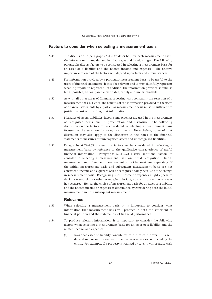#### **Factors to consider when selecting a measurement basis**

- 6.48 The discussion in paragraphs 6.4–6.47 describes, for each measurement basis, the information it provides and its advantages and disadvantages. The following paragraphs discuss factors to be considered in selecting a measurement basis for an asset or a liability and the related income and expenses. The relative importance of each of the factors will depend upon facts and circumstances.
- 6.49 For information provided by a particular measurement basis to be useful to the users of financial statements, it must be relevant and it must faithfully represent what it purports to represent. In addition, the information provided should, as far as possible, be comparable, verifiable, timely and understandable.
- 6.50 As with all other areas of financial reporting, cost constrains the selection of a measurement basis. Hence, the benefits of the information provided to the users of financial statements by a particular measurement basis must be sufficient to justify the cost of providing that information.
- 6.51 Measures of assets, liabilities, income and expenses are used in the measurement of recognised items, and in presentation and disclosure. The following discussion on the factors to be considered in selecting a measurement basis focuses on the selection for recognised items. Nevertheless, some of that discussion may also apply to the disclosure in the notes to the financial statements of measures of unrecognised assets and unrecognised liabilities.
- 6.52 Paragraphs 6.53–6.63 discuss the factors to be considered in selecting a measurement basis by reference to the qualitative characteristics of useful financial information. Paragraphs 6.64–6.73 discuss additional factors to consider in selecting a measurement basis on initial recognition. Initial measurement and subsequent measurement cannot be considered separately. If the initial measurement basis and subsequent measurement basis are not consistent, income and expenses will be recognised solely because of the change in measurement basis. Recognising such income or expenses might appear to depict a transaction or other event when, in fact, no such transaction or event has occurred. Hence, the choice of measurement basis for an asset or a liability and the related income or expenses is determined by considering both the initial measurement and the subsequent measurement.

#### **Relevance**

- 6.53 When selecting a measurement basis, it is important to consider what information that measurement basis will produce in both the statement of financial position and the statement(s) of financial performance.
- 6.54 To produce relevant information, it is important to consider the following factors when selecting a measurement basis for an asset or a liability and the related income and expenses:
	- (a) how that asset or liability contributes to future cash flows. This will depend in part on the nature of the business activities conducted by the entity. For example, if a property is realised by sale, it will produce cash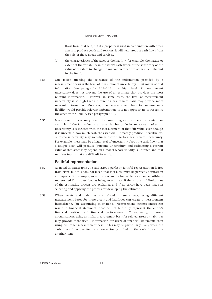flows from that sale, but if a property is used in combination with other assets to produce goods and services, it will help produce cash flows from the sale of those goods and services.

- (b) the characteristics of the asset or the liability (for example, the nature or extent of the variability in the item's cash flows, or the sensitivity of the value of the item to changes in market factors or to other risks inherent in the item).
- 6.55 One factor affecting the relevance of the information provided by a measurement basis is the level of measurement uncertainty in estimates of that information (see paragraphs 2.12–2.13). A high level of measurement uncertainty does not prevent the use of an estimate that provides the most relevant information. However, in some cases, the level of measurement uncertainty is so high that a different measurement basis may provide more relevant information. Moreover, if no measurement basis for an asset or a liability would provide relevant information, it is not appropriate to recognise the asset or the liability (see paragraph 5.13).
- 6.56 Measurement uncertainty is not the same thing as outcome uncertainty. For example, if the fair value of an asset is observable in an active market, no uncertainty is associated with the measurement of that fair value, even though it is uncertain how much cash the asset will ultimately produce. Nevertheless, outcome uncertainty may sometimes contribute to measurement uncertainty. For example, there may be a high level of uncertainty about the cash flows that a unique asset will produce (outcome uncertainty) and estimating a current value of that asset may depend on a model whose validity is untested and that requires inputs that are difficult to verify.

## **Faithful representation**

- 6.57 As noted in paragraphs 2.15 and 2.19, a perfectly faithful representation is free from error, but this does not mean that measures must be perfectly accurate in all respects. For example, an estimate of an unobservable price can be faithfully represented if it is described as being an estimate, if the nature and limitations of the estimating process are explained and if no errors have been made in selecting and applying the process for developing the estimate.
- 6.58 When assets and liabilities are related in some way, using different measurement bases for those assets and liabilities can create a measurement inconsistency (an 'accounting mismatch'). Measurement inconsistencies can result in financial statements that do not faithfully represent the entity's financial position and financial performance. Consequently, in some circumstances, using a similar measurement basis for related assets or liabilities may provide more useful information for users of financial statements than using dissimilar measurement bases. This may be particularly likely when the cash flows from one item are contractually linked to the cash flows from another item.

**Communist Execution 68 CONTERS** Foundation 68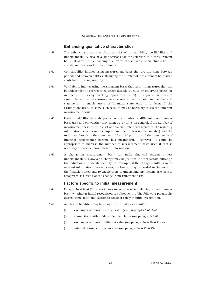## **Enhancing qualitative characteristics**

- 6.59 The enhancing qualitative characteristics of comparability, verifiability and understandability also have implications for the selection of a measurement basis. However, the enhancing qualitative characteristic of timeliness has no specific implications for measurement.
- 6.60 Comparability implies using measurement bases that are the same between periods and between entities. Reducing the number of measurement bases used contributes to comparability.
- 6.61 Verifiability implies using measurement bases that result in measures that can be independently corroborated either directly (such as by observing prices) or indirectly (such as by checking inputs to a model). If a particular measure cannot be verified, disclosures may be needed in the notes to the financial statements to enable users of financial statements to understand the assumptions used. In some such cases, it may be necessary to select a different measurement basis.
- 6.62 Understandability depends partly on the number of different measurement bases used and on whether they change over time. In general, if the number of measurement bases used in a set of financial statements increases, the resulting information becomes more complex (and, hence, less understandable), and the totals or subtotals in the statement of financial position and the statement(s) of financial performance become less meaningful. However, it could be appropriate to increase the number of measurement bases used if that is necessary to provide more relevant information.
- 6.63 A change in measurement basis can make financial statements less understandable. However a change may be justified if other factors outweigh the reduction in understandability; for example, if the change results in more relevant information. In such cases, disclosures may be needed in the notes to the financial statements to enable users to understand any income or expenses recognised as a result of the change in measurement basis.

## **Factors specific to initial measurement**

- 6.64 Paragraphs 6.48–6.63 discuss factors to consider when selecting a measurement basis, whether at initial recognition or subsequently. The following paragraphs discuss some additional factors to consider solely at initial recognition.
- 6.65 Assets and liabilities may be recognised initially as a result of:
	- (a) exchanges of items of similar value (see paragraphs 6.66–6.68);
	- (b) transactions with holders of equity claims (see paragraph 6.69);
	- (c) exchanges of items of different value (see paragraphs 6.70–6.71); or
	- (d) internal construction of an asset (see paragraphs 6.72–6.73).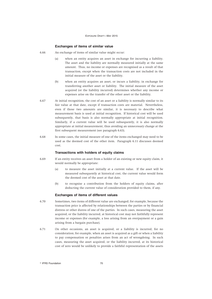#### **Exchanges of items of similar value**

- 6.66 An exchange of items of similar value might occur:
	- (a) when an entity acquires an asset in exchange for incurring a liability. The asset and the liability are normally measured initially at the same amount. Thus, no income or expenses are recognised as a result of that transaction, except when the transaction costs are not included in the initial measure of the asset or the liability.
	- (b) when an entity acquires an asset, or incurs a liability, in exchange for transferring another asset or liability. The initial measure of the asset acquired (or the liability incurred) determines whether any income or expenses arise on the transfer of the other asset or the liability.
- 6.67 At initial recognition, the cost of an asset or a liability is normally similar to its fair value at that date, except if transaction costs are material. Nevertheless, even if those two amounts are similar, it is necessary to describe what measurement basis is used at initial recognition. If historical cost will be used subsequently, that basis is also normally appropriate at initial recognition. Similarly, if a current value will be used subsequently, it is also normally appropriate at initial measurement, thus avoiding an unnecessary change at the first subsequent measurement (see paragraph 6.63).
- 6.68 In some cases, the initial measure of one of the items exchanged may need to be used as the deemed cost of the other item. Paragraph 6.11 discusses deemed cost.

#### **Transactions with holders of equity claims**

- 6.69 If an entity receives an asset from a holder of an existing or new equity claim, it would normally be appropriate:
	- (a) to measure the asset initially at a current value. If the asset will be measured subsequently at historical cost, the current value would form the deemed cost of the asset at that date.
	- (b) to recognise a contribution from the holders of equity claims, after deducting the current value of consideration provided to them, if any.

#### **Exchanges of items of different values**

- 6.70 Sometimes, two items of different value are exchanged; for example, because the transaction price is affected by relationships between the parties or by financial distress or other duress of one of the parties. In such cases, measuring the asset acquired, or the liability incurred, at historical cost may not faithfully represent income or expenses (for example, a loss arising from an overpayment or a gain arising from a bargain purchase).
- 6.71 On other occasions, an asset is acquired, or a liability is incurred, for no consideration; for example, when an asset is acquired as a gift or when a liability to pay compensation or penalties arises from an act of wrongdoing. In such cases, measuring the asset acquired, or the liability incurred, at its historical cost of zero would be unlikely to provide a faithful representation of the assets

**Communist Foundation** 70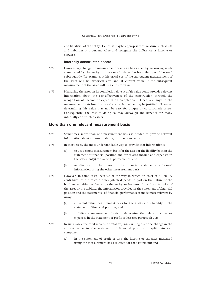and liabilities of the entity. Hence, it may be appropriate to measure such assets and liabilities at a current value and recognise the difference as income or expense.

#### **Internally constructed assets**

- 6.72 Unnecessary changes in measurement bases can be avoided by measuring assets constructed by the entity on the same basis as the basis that would be used subsequently (for example, at historical cost if the subsequent measurement of the asset will be historical cost and at current value if the subsequent measurement of the asset will be a current value).
- 6.73 Measuring the asset on its completion date at a fair value could provide relevant information about the cost-effectiveness of the construction through the recognition of income or expenses on completion. Hence, a change in the measurement basis from historical cost to fair value may be justified. However, determining fair value may not be easy for unique or custom-made assets. Consequently, the cost of doing so may outweigh the benefits for many internally constructed assets.

#### **More than one relevant measurement basis**

- 6.74 Sometimes, more than one measurement basis is needed to provide relevant information about an asset, liability, income or expense.
- 6.75 In most cases, the most understandable way to provide that information is:
	- (a) to use a single measurement basis for the asset or the liability both in the statement of financial position and for related income and expenses in the statement(s) of financial performance; and
	- (b) to disclose in the notes to the financial statements additional information using the other measurement basis.
- 6.76 However, in some cases, because of the way in which an asset or a liability contributes to future cash flows (which depends in part on the nature of the business activities conducted by the entity) or because of the characteristics of the asset or the liability, the information provided in the statement of financial position and the statement(s) of financial performance is made more relevant by using:
	- (a) a current value measurement basis for the asset or the liability in the statement of financial position; and
	- (b) a different measurement basis to determine the related income or expenses in the statement of profit or loss (see paragraph 7.25).
- 6.77 In such cases, the total income or total expenses arising from the change in the current value in the statement of financial position is split into two components:
	- (a) in the statement of profit or loss: the income or expenses measured using the measurement basis selected for that statement; and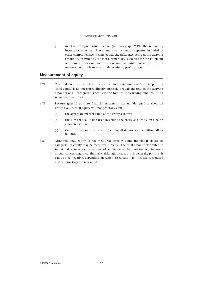(b) in other comprehensive income (see paragraph 7.19): the remaining income or expenses. The cumulative income or expenses included in other comprehensive income equals the difference between the carrying amount determined by the measurement basis selected for the statement of financial position and the carrying amount determined by the measurement basis selected in determining profit or loss.

## **Measurement of equity**

- 6.78 The total amount at which equity is shown in the statement of financial position (total equity) is not measured directly; instead, it equals the total of the carrying amounts of all recognised assets less the total of the carrying amounts of all recognised liabilities.
- 6.79 Because general purpose financial statements are not designed to show an entity's value, total equity will not generally equal:
	- (a) the aggregate market value of the entity's shares;
	- (b) the sum that could be raised by selling the entity as a whole on a going concern basis; or
	- (c) the sum that could be raised by selling all its assets after settling all its liabilities.
- 6.80 Although total equity is not measured directly, some individual classes or categories of equity may be measured directly. The total amount attributed to individual classes or categories of equity may be positive or, in some circumstances, negative. Similarly, although total equity is generally positive, it can also be negative, depending on which assets and liabilities are recognised and on how they are measured.

**Communist Execution** 6 and 5 and 5 and 5 and 5 and 6 and 5 and 6 and 6 and 6 and 6 and 6 and 6 and 6 and 6 and 6 and 6 and 6 and 6 and 6 and 6 and 6 and 6 and 6 and 6 and 6 and 6 and 6 and 6 and 6 and 6 and 6 and 6 and 6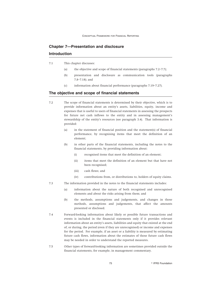## **Chapter 7—Presentation and disclosure**

## **Introduction**

## 7.1 This chapter discusses:

- (a) the objective and scope of financial statements (paragraphs 7.2–7.7);
- (b) presentation and disclosure as communication tools (paragraphs 7.8–7.18); and
- (c) information about financial performance (paragraphs 7.19–7.27).

### **The objective and scope of financial statements**

- 7.2 The scope of financial statements is determined by their objective, which is to provide information about an entity's assets, liabilities, equity, income and expenses that is useful to users of financial statements in assessing the prospects for future net cash inflows to the entity and in assessing management's stewardship of the entity's resources (see paragraph 3.4). That information is provided:
	- (a) in the statement of financial position and the statement(s) of financial performance, by recognising items that meet the definition of an element;
	- (b) in other parts of the financial statements, including the notes to the financial statements, by providing information about:
		- (i) recognised items that meet the definition of an element;
		- (ii) items that meet the definition of an element but that have not been recognised;
		- (iii) cash flows; and
		- (iv) contributions from, or distributions to, holders of equity claims.
- 7.3 The information provided in the notes to the financial statements includes:
	- (a) information about the nature of both recognised and unrecognised elements and about the risks arising from them; and
	- (b) the methods, assumptions and judgements, and changes in those methods, assumptions and judgements, that affect the amounts presented or disclosed.
- 7.4 Forward-looking information about likely or possible future transactions and events is included in the financial statements only if it provides relevant information about an entity's assets, liabilities and equity that existed at the end of, or during, the period (even if they are unrecognised) or income and expenses for the period. For example, if an asset or a liability is measured by estimating future cash flows, information about the estimates of those future cash flows may be needed in order to understand the reported measures.
- 7.5 Other types of forward-looking information are sometimes provided outside the financial statements, for example, in management commentary.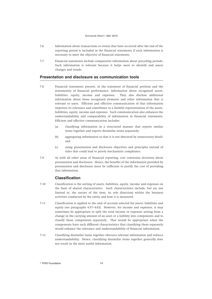- 7.6 Information about transactions or events that have occurred after the end of the reporting period is included in the financial statements if such information is necessary to meet the objective of financial statements.
- 7.7 Financial statements include comparative information about preceding periods. Such information is relevant because it helps users to identify and assess changes and trends.

## **Presentation and disclosure as communication tools**

- 7.8 Financial statements present, in the statement of financial position and the statement(s) of financial performance, information about recognised assets, liabilities, equity, income and expenses. They also disclose additional information about those recognised elements and other information that is relevant to users. Efficient and effective communication of that information improves its relevance and contributes to a faithful representation of the assets, liabilities, equity, income and expenses. Such communication also enhances the understandability and comparability of information in financial statements. Efficient and effective communication includes:
	- (a) classifying information in a structured manner that reports similar items together and reports dissimilar items separately;
	- (b) aggregating information so that it is not obscured by unnecessary detail; and
	- (c) using presentation and disclosure objectives and principles instead of rules that could lead to purely mechanistic compliance.
- 7.9 As with all other areas of financial reporting, cost constrains decisions about presentation and disclosure. Hence, the benefits of the information provided by presentation and disclosure must be sufficient to justify the cost of providing that information.

# **Classification**

- 7.10 Classification is the sorting of assets, liabilities, equity, income and expenses on the basis of shared characteristics. Such characteristics include, but are not limited to, the nature of the item, its role (function) within the business activities conducted by the entity and how it is measured.
- 7.11 Classification is applied to the unit of account selected for assets, liabilities and equity (see paragraphs 4.57–4.63). However, for income and expenses, it may sometimes be appropriate to split the total income or expenses arising from a change in the carrying amount of an asset or a liability into components and to classify those components separately. That would be appropriate when the components have such different characteristics that classifying them separately would enhance the relevance and understandability of financial information.
- 7.12 Classifying dissimilar items together obscures relevant information and reduces understandability. Hence, classifying dissimilar items together generally does not result in the most useful information.

**Communist Execution** 6 and 5 and 5 and 5 and 5 and 5 and 6 and 6 and 6 and 6 and 6 and 6 and 6 and 6 and 6 and 6 and 6 and 6 and 6 and 6 and 6 and 6 and 6 and 6 and 6 and 6 and 6 and 6 and 6 and 6 and 6 and 6 and 6 and 6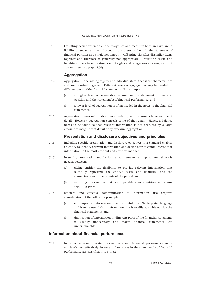7.13 Offsetting occurs when an entity recognises and measures both an asset and a liability as separate units of account, but presents them in the statement of financial position as a single net amount. Offsetting classifies dissimilar items together and therefore is generally not appropriate. Offsetting assets and liabilities differs from treating a set of rights and obligations as a single unit of account (see paragraph 4.60).

## **Aggregation**

- 7.14 Aggregation is the adding together of individual items that share characteristics and are classified together. Different levels of aggregation may be needed in different parts of the financial statements. For example:
	- (a) a higher level of aggregation is used in the statement of financial position and the statement(s) of financial performance; and
	- (b) a lower level of aggregation is often needed in the notes to the financial statements.
- 7.15 Aggregation makes information more useful by summarising a large volume of detail. However, aggregation conceals some of that detail. Hence, a balance needs to be found so that relevant information is not obscured by a large amount of insignificant detail or by excessive aggregation.

## **Presentation and disclosure objectives and principles**

- 7.16 Including specific presentation and disclosure objectives in a Standard enables an entity to identify relevant information and decide how to communicate that information in the most efficient and effective manner.
- 7.17 In setting presentation and disclosure requirements, an appropriate balance is needed between:
	- (a) giving entities the flexibility to provide relevant information that faithfully represents the entity's assets and liabilities, and the transactions and other events of the period; and
	- (b) requiring information that is comparable among entities and across reporting periods.
- 7.18 Efficient and effective communication of information also requires consideration of the following principles:
	- (a) entity-specific information is more useful than 'boilerplate' language and is more useful than information that is readily available outside the financial statements; and
	- (b) duplication of information in different parts of the financial statements is usually unnecessary and makes financial statements less understandable.

## **Information about financial performance**

7.19 In order to communicate information about financial performance more efficiently and effectively, income and expenses in the statement(s) of financial performance are classified into either: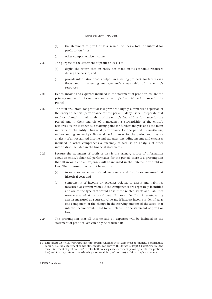- (a) the statement of profit or loss, which includes a total or subtotal for profit or loss;<sup>14</sup> or
- (b) other comprehensive income.
- 7.20 The purpose of the statement of profit or loss is to:
	- (a) depict the return that an entity has made on its economic resources during the period; and
	- (b) provide information that is helpful in assessing prospects for future cash flows and in assessing management's stewardship of the entity's resources.
- 7.21 Hence, income and expenses included in the statement of profit or loss are the primary source of information about an entity's financial performance for the period.
- 7.22 The total or subtotal for profit or loss provides a highly summarised depiction of the entity's financial performance for the period. Many users incorporate that total or subtotal in their analysis of the entity's financial performance for the period and in their analysis of management's stewardship of the entity's resources, using it either as a starting point for further analysis or as the main indicator of the entity's financial performance for the period. Nevertheless, understanding an entity's financial performance for the period requires an analysis of all recognised income and expenses (including income and expenses included in other comprehensive income), as well as an analysis of other information included in the financial statements.
- 7.23 Because the statement of profit or loss is the primary source of information about an entity's financial performance for the period, there is a presumption that all income and all expenses will be included in the statement of profit or loss. That presumption cannot be rebutted for:
	- (a) income or expenses related to assets and liabilities measured at historical cost; and
	- (b) components of income or expenses related to assets and liabilities measured at current values if the components are separately identified and are of the type that would arise if the related assets and liabilities were measured at historical cost. For example, if an interest-bearing asset is measured at a current value and if interest income is identified as one component of the change in the carrying amount of the asset, that interest income would need to be included in the statement of profit or loss.
- 7.24 The presumption that all income and all expenses will be included in the statement of profit or loss can only be rebutted if:

**Communist Execution 19 and 19 and 19 and 19 and 19 and 19 and 19 and 19 and 19 and 19 and 19 and 19 and 19 and 19 and 19 and 19 and 19 and 19 and 19 and 19 and 19 and 19 and 19 and 19 and 19 and 19 and 19 and 19 and 19 an** 

<sup>14</sup> This [draft] *Conceptual Framework* does not specify whether the statement(s) of financial performance comprise a single statement or two statements. For brevity, this [draft] *Conceptual Framework* uses the term 'statement of profit or loss' to refer both to a separate statement (showing a total for profit or loss) and to a separate section (showing a subtotal for profit or loss) within a single statement.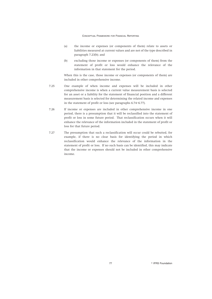- (a) the income or expenses (or components of them) relate to assets or liabilities measured at current values and are not of the type described in paragraph 7.23(b); and
- (b) excluding those income or expenses (or components of them) from the statement of profit or loss would enhance the relevance of the information in that statement for the period.

When this is the case, those income or expenses (or components of them) are included in other comprehensive income.

- 7.25 One example of when income and expenses will be included in other comprehensive income is when a current value measurement basis is selected for an asset or a liability for the statement of financial position and a different measurement basis is selected for determining the related income and expenses in the statement of profit or loss (see paragraphs 6.74–6.77).
- 7.26 If income or expenses are included in other comprehensive income in one period, there is a presumption that it will be reclassified into the statement of profit or loss in some future period. That reclassification occurs when it will enhance the relevance of the information included in the statement of profit or loss for that future period.
- 7.27 The presumption that such a reclassification will occur could be rebutted, for example, if there is no clear basis for identifying the period in which reclassification would enhance the relevance of the information in the statement of profit or loss. If no such basis can be identified, this may indicate that the income or expenses should not be included in other comprehensive income.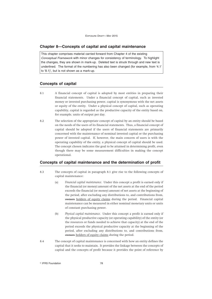## **Chapter 8—Concepts of capital and capital maintenance**

This chapter comprises material carried forward from Chapter 4 of the existing *Conceptual Framework* with minor changes for consistency of terminology. To highlight the changes, they are shown in mark-up. Deleted text is struck through and new text is underlined. The format of the numbering has also been changed (for example, from '4.1' to '8.1)', but is not shown as a mark-up.

## **Concepts of capital**

- 8.1 A financial concept of capital is adopted by most entities in preparing their financial statements. Under a financial concept of capital, such as invested money or invested purchasing power, capital is synonymous with the net assets or equity of the entity. Under a physical concept of capital, such as operating capability, capital is regarded as the productive capacity of the entity based on, for example, units of output per day.
- 8.2 The selection of the appropriate concept of capital by an entity should be based on the needs of the users of its financial statements. Thus, a financial concept of capital should be adopted if the users of financial statements are primarily concerned with the maintenance of nominal invested capital or the purchasing power of invested capital. If, however, the main concern of users is with the operating capability of the entity, a physical concept of capital should be used. The concept chosen indicates the goal to be attained in determining profit, even though there may be some measurement difficulties in making the concept operational.

## **Concepts of capital maintenance and the determination of profit**

- 8.3 The concepts of capital in paragraph 8.1 give rise to the following concepts of capital maintenance:
	- (a) *Financial capital maintenance*. Under this concept a profit is earned only if the financial (or money) amount of the net assets at the end of the period exceeds the financial (or money) amount of net assets at the beginning of the period, after excluding any distributions to, and contributions from, owners holders of equity claims during the period. Financial capital maintenance can be measured in either nominal monetary units or units of constant purchasing power.
	- (b) *Physical capital maintenance*. Under this concept a profit is earned only if the physical productive capacity (or operating capability) of the entity (or the resources or funds needed to achieve that capacity) at the end of the period exceeds the physical productive capacity at the beginning of the period, after excluding any distributions to, and contributions from, owners holders of equity claims during the period.
- 8.4 The concept of capital maintenance is concerned with how an entity defines the capital that it seeks to maintain. It provides the linkage between the concepts of capital and the concepts of profit because it provides the point of reference by

**Communist Execution** 6 and 5 and 5 and 5 and 5 and 5 and 5 and 5 and 5 and 5 and 5 and 5 and 5 and 5 and 5 and 5 and 5 and 5 and 5 and 5 and 5 and 5 and 5 and 5 and 5 and 5 and 5 and 5 and 5 and 5 and 5 and 5 and 5 and 5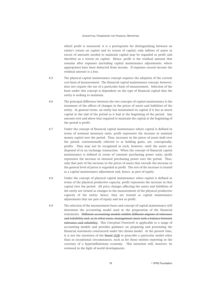which profit is measured; it is a prerequisite for distinguishing between an entity's return on capital and its return of capital; only inflows of assets in excess of amounts needed to maintain capital may be regarded as profit and therefore as a return on capital. Hence, profit is the residual amount that remains after expenses (including capital maintenance adjustments, where appropriate) have been deducted from income. If expenses exceed income the residual amount is a loss.

- 8.5 The physical capital maintenance concept requires the adoption of the current cost basis of measurement. The financial capital maintenance concept, however, does not require the use of a particular basis of measurement. Selection of the basis under this concept is dependent on the type of financial capital that the entity is seeking to maintain.
- 8.6 The principal difference between the two concepts of capital maintenance is the treatment of the effects of changes in the prices of assets and liabilities of the entity. In general terms, an entity has maintained its capital if it has as much capital at the end of the period as it had at the beginning of the period. Any amount over and above that required to maintain the capital at the beginning of the period is profit.
- 8.7 Under the concept of financial capital maintenance where capital is defined in terms of nominal monetary units, profit represents the increase in nominal money capital over the period. Thus, increases in the prices of assets held over the period, conventionally referred to as holding gains, are, conceptually, profits. They may not be recognised as such, however, until the assets are disposed of in an exchange transaction. When the concept of financial capital maintenance is defined in terms of constant purchasing power units, profit represents the increase in invested purchasing power over the period. Thus, only that part of the increase in the prices of assets that exceeds the increase in the general level of prices is regarded as profit. The rest of the increase is treated as a capital maintenance adjustment and, hence, as part of equity.
- 8.8 Under the concept of physical capital maintenance when capital is defined in terms of the physical productive capacity, profit represents the increase in that capital over the period. All price changes affecting the assets and liabilities of the entity are viewed as changes in the measurement of the physical productive capacity of the entity; hence, they are treated as capital maintenance adjustments that are part of equity and not as profit.
- 8.9 The selection of the measurement bases and concept of capital maintenance will determine the accounting model used in the preparation of the financial statements. Different accounting models exhibit different degrees of relevance and reliability and, as in other areas, management must seek a balance between relevance and reliability. This *Conceptual Framework* is applicable to a range of accounting models and provides guidance on preparing and presenting the financial statements constructed under the chosen model. At the present time, it is not the intention of the Board IASB to prescribe a particular model other than in exceptional circumstances, such as for those entities reporting in the currency of a hyperinflationary economy. This intention will, however, be reviewed in the light of world developments.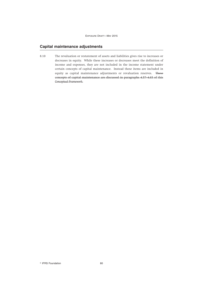# **Capital maintenance adjustments**

8.10 The revaluation or restatement of assets and liabilities gives rise to increases or decreases in equity. While these increases or decreases meet the definition of income and expenses, they are not included in the income statement under certain concepts of capital maintenance. Instead these items are included in equity as capital maintenance adjustments or revaluation reserves. These concepts of capital maintenance are discussed in paragraphs 4.57–4.65 of this *Conceptual Framework*.

- IFRS Foundation 80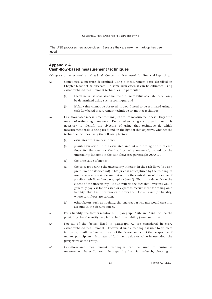The IASB proposes new appendices. Because they are new, no mark-up has been used.

## **Appendix A Cash-flow-based measurement techniques**

*This appendix is an integral part of the [draft]* Conceptual Framework for Financial Reporting*.*

- A1 Sometimes, a measure determined using a measurement basis described in Chapter 6 cannot be observed. In some such cases, it can be estimated using cash-flow-based measurement techniques. In particular:
	- (a) the value in use of an asset and the fulfilment value of a liability can only be determined using such a technique; and
	- (b) if fair value cannot be observed, it would need to be estimated using a cash-flow-based measurement technique or another technique.
- A2 Cash-flow-based measurement techniques are not measurement bases; they are a means of estimating a measure. Hence, when using such a technique, it is necessary to identify the objective of using that technique (ie which measurement basis is being used) and, in the light of that objective, whether the technique includes using the following factors:
	- (a) estimates of future cash flows.
	- (b) possible variations in the estimated amount and timing of future cash flows for the asset or the liability being measured, caused by the uncertainty inherent in the cash flows (see paragraphs A6–A10).
	- (c) the time value of money.
	- (d) the price for bearing the uncertainty inherent in the cash flows (ie a risk premium or risk discount). That price is not captured by the techniques used to measure a single amount within the central part of the range of possible cash flows (see paragraphs A6–A10). That price depends on the extent of the uncertainty. It also reflects the fact that investors would generally pay less for an asset (or expect to receive more for taking on a liability) that has uncertain cash flows than for an asset (or liability) whose cash flows are certain.
	- (e) other factors, such as liquidity, that market participants would take into account in the circumstances.
- A3 For a liability, the factors mentioned in paragraph A2(b) and A2(d) include the possibility that the entity may fail to fulfil the liability (own credit risk).
- A4 Not all of the factors listed in paragraph A2 are considered in every cash-flow-based measurement. However, if such a technique is used to estimate fair value, it will need to capture all of the factors and adopt the perspective of market participants. Estimates of fulfilment value or value in use adopt the perspective of the entity.
- A5 Cash-flow-based measurement techniques can be used to customise measurement bases (for example, departing from fair value by choosing to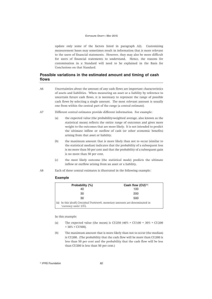update only some of the factors listed in paragraph A2). Customising measurement bases may sometimes result in information that is more relevant to the users of financial statements. However, they may also be more difficult for users of financial statements to understand. Hence, the reasons for customisation in a Standard will need to be explained in the Basis for Conclusions on that Standard.

## **Possible variations in the estimated amount and timing of cash flows**

- A6 Uncertainties about the amount of any cash flows are important characteristics of assets and liabilities. When measuring an asset or a liability by reference to uncertain future cash flows, it is necessary to represent the range of possible cash flows by selecting a single amount. The most relevant amount is usually one from within the central part of the range (a central estimate).
- A7 Different central estimates provide different information. For example:
	- (a) the expected value (the probability-weighted average, also known as the statistical mean) reflects the entire range of outcomes and gives more weight to the outcomes that are more likely. It is not intended to predict the ultimate inflow or outflow of cash (or other economic benefits) arising from that asset or liability.
	- (b) the maximum amount that is more likely than not to occur (similar to the statistical median) indicates that the probability of a subsequent loss is no more than 50 per cent and that the probability of a subsequent gain is no more than 50 per cent.
	- (c) the most likely outcome (the statistical mode) predicts the ultimate inflow or outflow arising from an asset or a liability.
- A8 Each of these central estimates is illustrated in the following example:

| Probability (%)                                                                                         | Cash flow $(CU)^{(a)}$ |
|---------------------------------------------------------------------------------------------------------|------------------------|
| 40                                                                                                      | 100                    |
| 30                                                                                                      | 200                    |
| 30                                                                                                      | 500                    |
| (a) In this [draft] Conceptual Framework, monetary amounts are denominated in<br>'currency units' (CU). |                        |

## **Example**

In this example:

- (a) The expected value (the mean) is CU250  $(40\% \times \text{CU100} + 30\% \times \text{CU200})$ + 30% × CU500).
- (b) The maximum amount that is more likely than not to occur (the median) is CU200. (The probability that the cash flow will be more than CU200 is less than 50 per cent and the probability that the cash flow will be less than CU200 is less than 50 per cent.)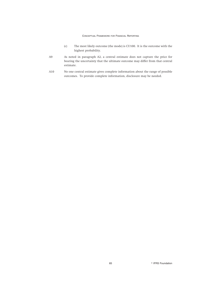- (c) The most likely outcome (the mode) is CU100. It is the outcome with the highest probability.
- A9 As noted in paragraph A2, a central estimate does not capture the price for bearing the uncertainty that the ultimate outcome may differ from that central estimate.
- A10 No one central estimate gives complete information about the range of possible outcomes. To provide complete information, disclosure may be needed.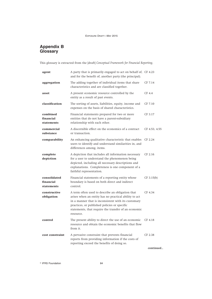# **Appendix B Glossary**

This glossary is extracted from the [draft] *Conceptual Framework for Financial Reporting*.

| agent                                   | A party that is primarily engaged to act on behalf of, CF 4.23<br>and for the benefit of, another party (the principal).                                                                                                                                                              |               |
|-----------------------------------------|---------------------------------------------------------------------------------------------------------------------------------------------------------------------------------------------------------------------------------------------------------------------------------------|---------------|
| aggregation                             | The adding together of individual items that share<br>characteristics and are classified together.                                                                                                                                                                                    | CF 7.14       |
| asset                                   | A present economic resource controlled by the<br>entity as a result of past events.                                                                                                                                                                                                   | CF 4.4        |
| classification                          | The sorting of assets, liabilities, equity, income and<br>expenses on the basis of shared characteristics.                                                                                                                                                                            | CF 7.10       |
| combined<br>financial<br>statements     | Financial statements prepared for two or more<br>entities that do not have a parent-subsidiary<br>relationship with each other.                                                                                                                                                       | CF 3.17       |
| commercial<br>substance                 | A discernible effect on the economics of a contract<br>or transaction.                                                                                                                                                                                                                | CF 4.53, 4.55 |
| comparability                           | An enhancing qualitative characteristic that enables<br>users to identify and understand similarities in, and<br>differences among, items.                                                                                                                                            | CF 2.24       |
| complete<br>depiction                   | A depiction that includes all information necessary<br>for a user to understand the phenomenon being<br>depicted, including all necessary descriptions and<br>explanations. Completeness is one component of a<br>faithful representation.                                            | CF 2.16       |
| consolidated<br>financial<br>statements | Financial statements of a reporting entity whose<br>boundary is based on both direct and indirect<br>control.                                                                                                                                                                         | CF 3.15(b)    |
| constructive<br>obligation              | A term often used to describe an obligation that<br>arises when an entity has no practical ability to act<br>in a manner that is inconsistent with its customary<br>practices, or published policies or specific<br>statements, that require the transfer of an economic<br>resource. | CF 4.34       |
| control                                 | The present ability to direct the use of an economic<br>resource and obtain the economic benefits that flow<br>from it.                                                                                                                                                               | CF 4.18       |
| cost constraint                         | A pervasive constraint that prevents financial<br>reports from providing information if the costs of<br>reporting exceed the benefits of doing so.                                                                                                                                    | CF 2.38       |
|                                         |                                                                                                                                                                                                                                                                                       | continued     |

**Communist Execution 1944 84**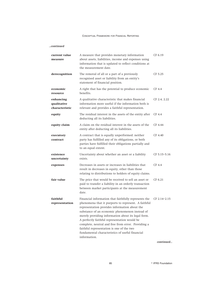## *...continued*

| current value<br>measure                   | A measure that provides monetary information<br>about assets, liabilities, income and expenses using<br>information that is updated to reflect conditions at<br>the measurement date.                                                                                                                                                                                                                                                                                                      | CF 6.19      |
|--------------------------------------------|--------------------------------------------------------------------------------------------------------------------------------------------------------------------------------------------------------------------------------------------------------------------------------------------------------------------------------------------------------------------------------------------------------------------------------------------------------------------------------------------|--------------|
| derecognition                              | The removal of all or a part of a previously<br>recognised asset or liability from an entity's<br>statement of financial position.                                                                                                                                                                                                                                                                                                                                                         | CF 5.25      |
| economic<br>resource                       | A right that has the potential to produce economic<br>benefits.                                                                                                                                                                                                                                                                                                                                                                                                                            | CF 4.4       |
| enhancing<br>qualitative<br>characteristic | A qualitative characteristic that makes financial<br>information more useful if the information both is<br>relevant and provides a faithful representation.                                                                                                                                                                                                                                                                                                                                | CF 2.4, 2.22 |
| equity                                     | The residual interest in the assets of the entity after<br>deducting all its liabilities.                                                                                                                                                                                                                                                                                                                                                                                                  | CF 4.4       |
| equity claim                               | A claim on the residual interest in the assets of the<br>entity after deducting all its liabilities.                                                                                                                                                                                                                                                                                                                                                                                       | CF 4.44      |
| executory<br>contract                      | A contract that is equally unperformed: neither<br>party has fulfilled any of its obligations, or both<br>parties have fulfilled their obligations partially and<br>to an equal extent.                                                                                                                                                                                                                                                                                                    | CF 4.40      |
| existence<br>uncertainty                   | Uncertainty about whether an asset or a liability<br>exists.                                                                                                                                                                                                                                                                                                                                                                                                                               | CF 5.15-5.16 |
| expenses                                   | Decreases in assets or increases in liabilities that<br>result in decreases in equity, other than those<br>relating to distributions to holders of equity claims.                                                                                                                                                                                                                                                                                                                          | CF 4.4       |
| fair value                                 | The price that would be received to sell an asset or<br>paid to transfer a liability in an orderly transaction<br>between market participants at the measurement<br>date.                                                                                                                                                                                                                                                                                                                  | CF 6.21      |
| faithful<br>representation                 | Financial information that faithfully represents the<br>phenomena that it purports to represent. A faithful<br>representation provides information about the<br>substance of an economic phenomenon instead of<br>merely providing information about its legal form.<br>A perfectly faithful representation would be<br>complete, neutral and free from error. Providing a<br>faithful representation is one of the two<br>fundamental characteristics of useful financial<br>information. | CF 2.14-2.15 |

*continued...*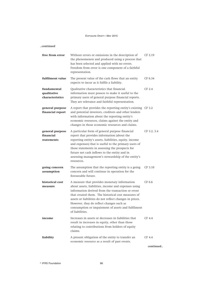| free from error                               | Without errors or omissions in the description of<br>the phenomenon and produced using a process that<br>has been selected and applied with no errors.<br>Freedom from error is one component of a faithful<br>representation.                                                                                                                                                                  | CF 2.19             |
|-----------------------------------------------|-------------------------------------------------------------------------------------------------------------------------------------------------------------------------------------------------------------------------------------------------------------------------------------------------------------------------------------------------------------------------------------------------|---------------------|
| fulfilment value                              | The present value of the cash flows that an entity<br>expects to incur as it fulfils a liability.                                                                                                                                                                                                                                                                                               | CF 6.34             |
| fundamental<br>qualitative<br>characteristics | Qualitative characteristics that financial<br>information must possess to make it useful to the<br>primary users of general purpose financial reports.<br>They are relevance and faithful representation.                                                                                                                                                                                       | CF 2.4              |
| general purpose<br>financial report           | A report that provides the reporting entity's existing CF 3.2<br>and potential investors, creditors and other lenders<br>with information about the reporting entity's<br>economic resources, claims against the entity and<br>changes in those economic resources and claims.                                                                                                                  |                     |
| general purpose<br>financial<br>statements    | A particular form of general purpose financial<br>report that provides information (about the<br>reporting entity's assets, liabilities, equity, income<br>and expenses) that is useful to the primary users of<br>those statements in assessing the prospects for<br>future net cash inflows to the entity and in<br>assessing management's stewardship of the entity's<br>resources.          | CF 3.2, 3.4         |
| going concern<br>assumption                   | The assumption that the reporting entity is a going<br>concern and will continue in operation for the<br>foreseeable future.                                                                                                                                                                                                                                                                    | CF 3.10             |
| historical cost<br>measure                    | A measure that provides monetary information<br>about assets, liabilities, income and expenses using<br>information derived from the transaction or event<br>that created them. The historical cost measures of<br>assets or liabilities do not reflect changes in prices.<br>However, they do reflect changes such as<br>consumption or impairment of assets and fulfilment<br>of liabilities. | CF 6.6              |
| income                                        | Increases in assets or decreases in liabilities that<br>result in increases in equity, other than those<br>relating to contributions from holders of equity<br>claims.                                                                                                                                                                                                                          | CF <sub>4.4</sub>   |
| liability                                     | A present obligation of the entity to transfer an<br>economic resource as a result of past events.                                                                                                                                                                                                                                                                                              | CF 4.4<br>continued |

**Communist Execution 1998 86**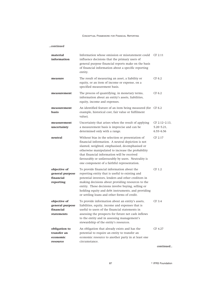*...continued*

| material<br>information                                    | Information whose omission or misstatement could<br>influence decisions that the primary users of<br>general purpose financial reports make on the basis<br>of financial information about a specific reporting<br>entity.                                                                                                                                            | CF 2.11                                           |
|------------------------------------------------------------|-----------------------------------------------------------------------------------------------------------------------------------------------------------------------------------------------------------------------------------------------------------------------------------------------------------------------------------------------------------------------|---------------------------------------------------|
| measure                                                    | The result of measuring an asset, a liability or<br>equity, or an item of income or expense, on a<br>specified measurement basis.                                                                                                                                                                                                                                     | CF 6.2                                            |
| measurement                                                | The process of quantifying, in monetary terms,<br>information about an entity's assets, liabilities,<br>equity, income and expenses.                                                                                                                                                                                                                                  | CF 6.2                                            |
| measurement<br>basis                                       | An identified feature of an item being measured (for CF 6.2<br>example, historical cost, fair value or fulfilment<br>value).                                                                                                                                                                                                                                          |                                                   |
| measurement<br>uncertainty                                 | Uncertainty that arises when the result of applying<br>a measurement basis is imprecise and can be<br>determined only with a range.                                                                                                                                                                                                                                   | CF 2.12-2.13,<br>$5.20 - 5.21$ ,<br>$6.55 - 6.56$ |
| neutral                                                    | Without bias in the selection or presentation of<br>financial information. A neutral depiction is not<br>slanted, weighted, emphasised, de-emphasised or<br>otherwise manipulated to increase the probability<br>that financial information will be received<br>favourably or unfavourably by users. Neutrality is<br>one component of a faithful representation.     | CF 2.17                                           |
| objective of<br>general purpose<br>financial<br>reporting  | To provide financial information about the<br>reporting entity that is useful to existing and<br>potential investors, lenders and other creditors in<br>making decisions about providing resources to the<br>entity. Those decisions involve buying, selling or<br>holding equity and debt instruments, and providing<br>or settling loans and other forms of credit. | CF 1.2                                            |
| objective of<br>general purpose<br>financial<br>statements | To provide information about an entity's assets,<br>liabilities, equity, income and expenses that is<br>useful to users of the financial statements in<br>assessing the prospects for future net cash inflows<br>to the entity and in assessing management's<br>stewardship of the entity's resources.                                                                | CF 3.4                                            |
| obligation to<br>transfer an<br>economic<br>resource       | An obligation that already exists and has the<br>potential to require an entity to transfer an<br>economic resource to another party in at least one<br>circumstance.                                                                                                                                                                                                 | CF 4.27                                           |

*continued...*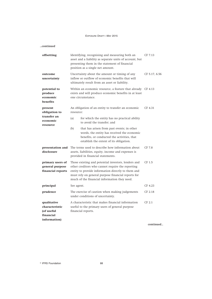| continued                                                                                  |                                                                                                                                              |                                                                                                                                                                                                                                                                     |                   |
|--------------------------------------------------------------------------------------------|----------------------------------------------------------------------------------------------------------------------------------------------|---------------------------------------------------------------------------------------------------------------------------------------------------------------------------------------------------------------------------------------------------------------------|-------------------|
| offsetting                                                                                 |                                                                                                                                              | Identifying, recognising and measuring both an<br>asset and a liability as separate units of account, but<br>presenting them in the statement of financial<br>position as a single net amount.                                                                      | CF 7.13           |
| outcome<br>uncertainty                                                                     |                                                                                                                                              | Uncertainty about the amount or timing of any<br>inflow or outflow of economic benefits that will<br>ultimately result from an asset or liability.                                                                                                                  | CF 5.17, 6.56     |
| potential to<br>produce<br>economic<br>benefits                                            | Within an economic resource, a feature that already<br>CF 4.13<br>exists and will produce economic benefits in at least<br>one circumstance. |                                                                                                                                                                                                                                                                     |                   |
| present<br>obligation to                                                                   | resource:                                                                                                                                    | An obligation of an entity to transfer an economic                                                                                                                                                                                                                  | CF 4.31           |
| transfer an<br>economic<br>resource                                                        | (a)                                                                                                                                          | for which the entity has no practical ability<br>to avoid the transfer: and                                                                                                                                                                                         |                   |
|                                                                                            | (b)                                                                                                                                          | that has arisen from past events; in other<br>words, the entity has received the economic<br>benefits, or conducted the activities, that<br>establish the extent of its obligation.                                                                                 |                   |
| presentation and<br>disclosure<br>primary users of<br>general purpose<br>financial reports |                                                                                                                                              | The terms used to describe how information about<br>assets, liabilities, equity, income and expenses is<br>provided in financial statements.                                                                                                                        | CF 7.8            |
|                                                                                            |                                                                                                                                              | Those existing and potential investors, lenders and<br>other creditors who cannot require the reporting<br>entity to provide information directly to them and<br>must rely on general purpose financial reports for<br>much of the financial information they need. | CF 1.5            |
| principal                                                                                  |                                                                                                                                              | See agent.                                                                                                                                                                                                                                                          |                   |
| prudence                                                                                   |                                                                                                                                              | The exercise of caution when making judgements<br>under conditions of uncertainty.                                                                                                                                                                                  | CF 2.18           |
| qualitative<br>characteristic<br>(of useful<br>financial<br>information)                   |                                                                                                                                              | A characteristic that makes financial information<br>useful to the primary users of general purpose<br>financial reports.                                                                                                                                           | CF <sub>2.1</sub> |
|                                                                                            |                                                                                                                                              |                                                                                                                                                                                                                                                                     | continued         |

**Communist Execution 1988 88**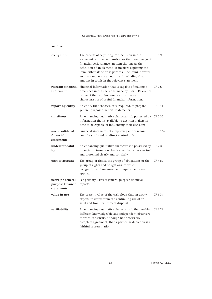## *...continued*

| recognition                                           | The process of capturing, for inclusion in the<br>statement of financial position or the statement(s) of<br>financial performance, an item that meets the<br>definition of an element. It involves depicting the<br>item (either alone or as part of a line item) in words<br>and by a monetary amount, and including that<br>amount in totals in the relevant statement. | CF 5.2            |
|-------------------------------------------------------|---------------------------------------------------------------------------------------------------------------------------------------------------------------------------------------------------------------------------------------------------------------------------------------------------------------------------------------------------------------------------|-------------------|
| information                                           | relevant financial Financial information that is capable of making a<br>difference in the decisions made by users. Relevance<br>is one of the two fundamental qualitative<br>characteristics of useful financial information.                                                                                                                                             | CF <sub>2.6</sub> |
| reporting entity                                      | An entity that chooses, or is required, to prepare<br>general purpose financial statements.                                                                                                                                                                                                                                                                               | CF 3.11           |
| timeliness                                            | An enhancing qualitative characteristic possessed by<br>information that is available to decision-makers in<br>time to be capable of influencing their decisions.                                                                                                                                                                                                         | CF 2.32           |
| unconsolidated<br>financial<br>statements             | Financial statements of a reporting entity whose<br>boundary is based on direct control only.                                                                                                                                                                                                                                                                             | CF 3.15(a)        |
| understandabil-<br>ity                                | An enhancing qualitative characteristic possessed by CF 2.33<br>financial information that is classified, characterised<br>and presented clearly and concisely.                                                                                                                                                                                                           |                   |
| unit of account                                       | The group of rights, the group of obligations or the<br>group of rights and obligations, to which<br>recognition and measurement requirements are<br>applied.                                                                                                                                                                                                             | CF 4.57           |
| users (of general<br>purpose financial<br>statements) | See primary users of general purpose financial<br>reports.                                                                                                                                                                                                                                                                                                                |                   |
| value in use                                          | The present value of the cash flows that an entity<br>expects to derive from the continuing use of an<br>asset and from its ultimate disposal.                                                                                                                                                                                                                            | CF 6.34           |
| verifiability                                         | An enhancing qualitative characteristic that enables<br>different knowledgeable and independent observers<br>to reach consensus, although not necessarily<br>complete agreement, that a particular depiction is a<br>faithful representation.                                                                                                                             | CF 2.29           |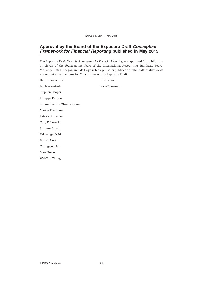# **Approval by the Board of the Exposure Draft** *Conceptual Framework for Financial Reporting* **published in May 2015**

The Exposure Draft *Conceptual Framework for Financial Reporting* was approved for publication by eleven of the fourteen members of the International Accounting Standards Board. Mr Cooper, Mr Finnegan and Ms Lloyd voted against its publication. Their alternative views are set out after the Basis for Conclusions on the Exposure Draft.

Hans Hoogervorst Chairman Ian Mackintosh Vice-Chairman Stephen Cooper Philippe Danjou Amaro Luiz De Oliveira Gomes Martin Edelmann Patrick Finnegan Gary Kabureck Suzanne Lloyd Takatsugu Ochi Darrel Scott Chungwoo Suh Mary Tokar Wei-Guo Zhang

**Communist Execution 190 90**